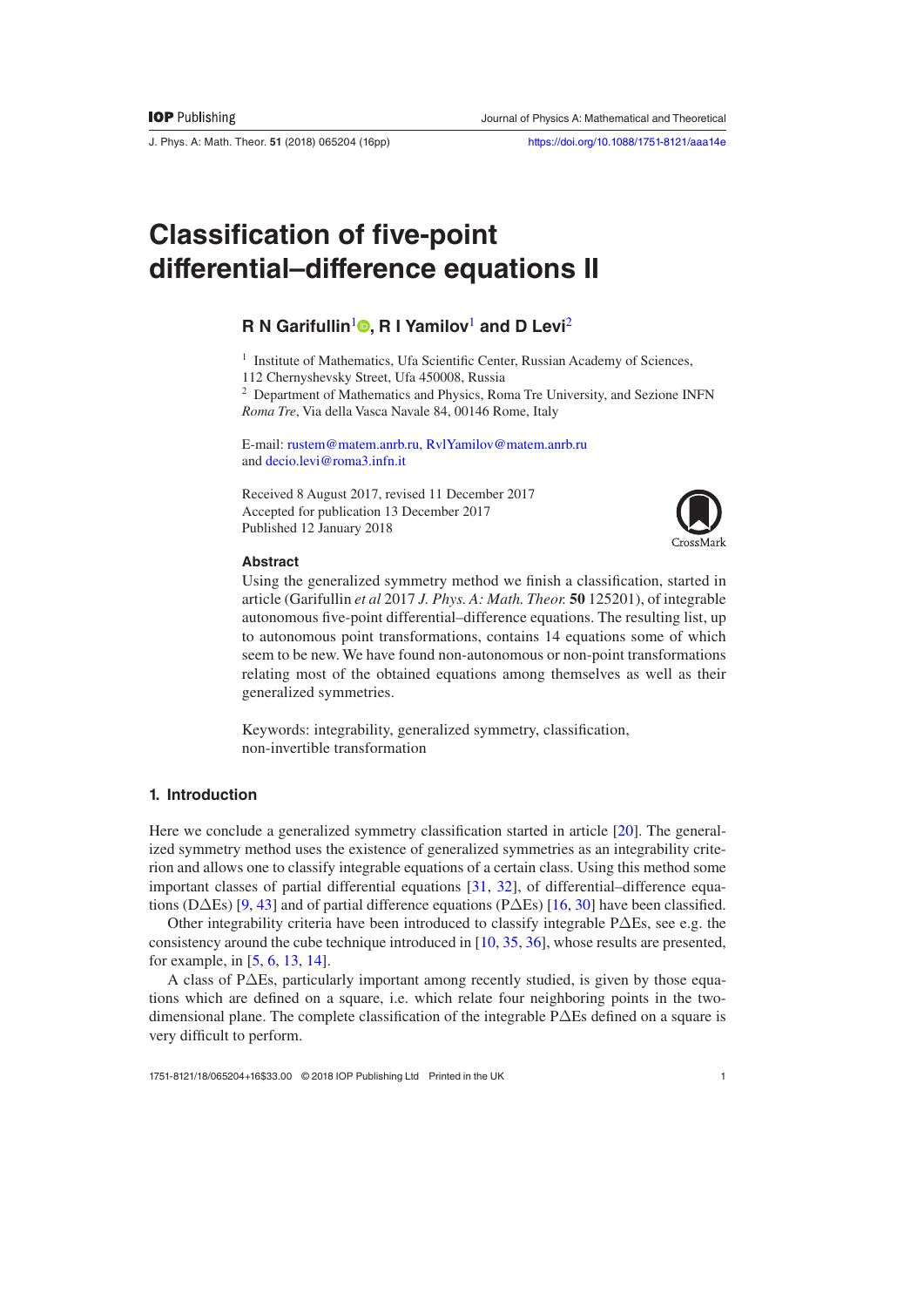J. Phys. A: Math. Theor. **51** (2018) 065204 ([16](#page-15-1)pp) <https://doi.org/10.1088/1751-8121/aaa14e>

# **Classification of five-point differential–difference equations II**

# **R N Garifullin<sup>[1](#page-0-0)</sup><sup>®</sup>, R I Yamilov<sup>1</sup> and D Levi<sup>[2](#page-0-1)</sup>**

<span id="page-0-0"></span><sup>1</sup> Institute of Mathematics, Ufa Scientific Center, Russian Academy of Sciences,

112 Chernyshevsky Street, Ufa 450008, Russia

<span id="page-0-1"></span><sup>2</sup> Department of Mathematics and Physics, Roma Tre University, and Sezione INFN *Roma Tre*, Via della Vasca Navale 84, 00146 Rome, Italy

E-mail: [rustem@matem.anrb.ru](mailto:rustem@matem.anrb.ru), [RvlYamilov@matem.anrb.ru](mailto:RvlYamilov@matem.anrb.ru) and [decio.levi@roma3.infn.it](mailto:decio.levi@roma3.infn.it)

Received 8 August 2017, revised 11 December 2017 Accepted for publication 13 December 2017 Published 12 January 2018



## **Abstract**

Using the generalized symmetry method we finish a classification, started in article (Garifullin *et al* 2017 *J. Phys. A: Math. Theor.* **50** 125201), of integrable autonomous five-point differential–difference equations. The resulting list, up to autonomous point transformations, contains 14 equations some of which seem to be new. We have found non-autonomous or non-point transformations relating most of the obtained equations among themselves as well as their generalized symmetries.

Keywords: integrability, generalized symmetry, classification, non-invertible transformation

# **1. Introduction**

Here we conclude a generalized symmetry classification started in article [\[20](#page-14-0)]. The generalized symmetry method uses the existence of generalized symmetries as an integrability criterion and allows one to classify integrable equations of a certain class. Using this method some important classes of partial differential equations [\[31](#page-14-1), [32](#page-14-2)], of differential–difference equations (D $\Delta$ Es) [[9,](#page-13-0) [43](#page-15-0)] and of partial difference equations (P $\Delta$ Es) [[16,](#page-14-3) [30\]](#page-14-4) have been classified.

Other integrability criteria have been introduced to classify integrable PΔEs, see e.g. the consistency around the cube technique introduced in [\[10](#page-13-1), [35](#page-14-5), [36\]](#page-14-6), whose results are presented, for example, in [\[5](#page-13-2), [6](#page-13-3), [13](#page-14-7), [14](#page-14-8)].

A class of PΔEs, particularly important among recently studied, is given by those equations which are defined on a square, i.e. which relate four neighboring points in the twodimensional plane. The complete classification of the integrable PΔEs defined on a square is very difficult to perform.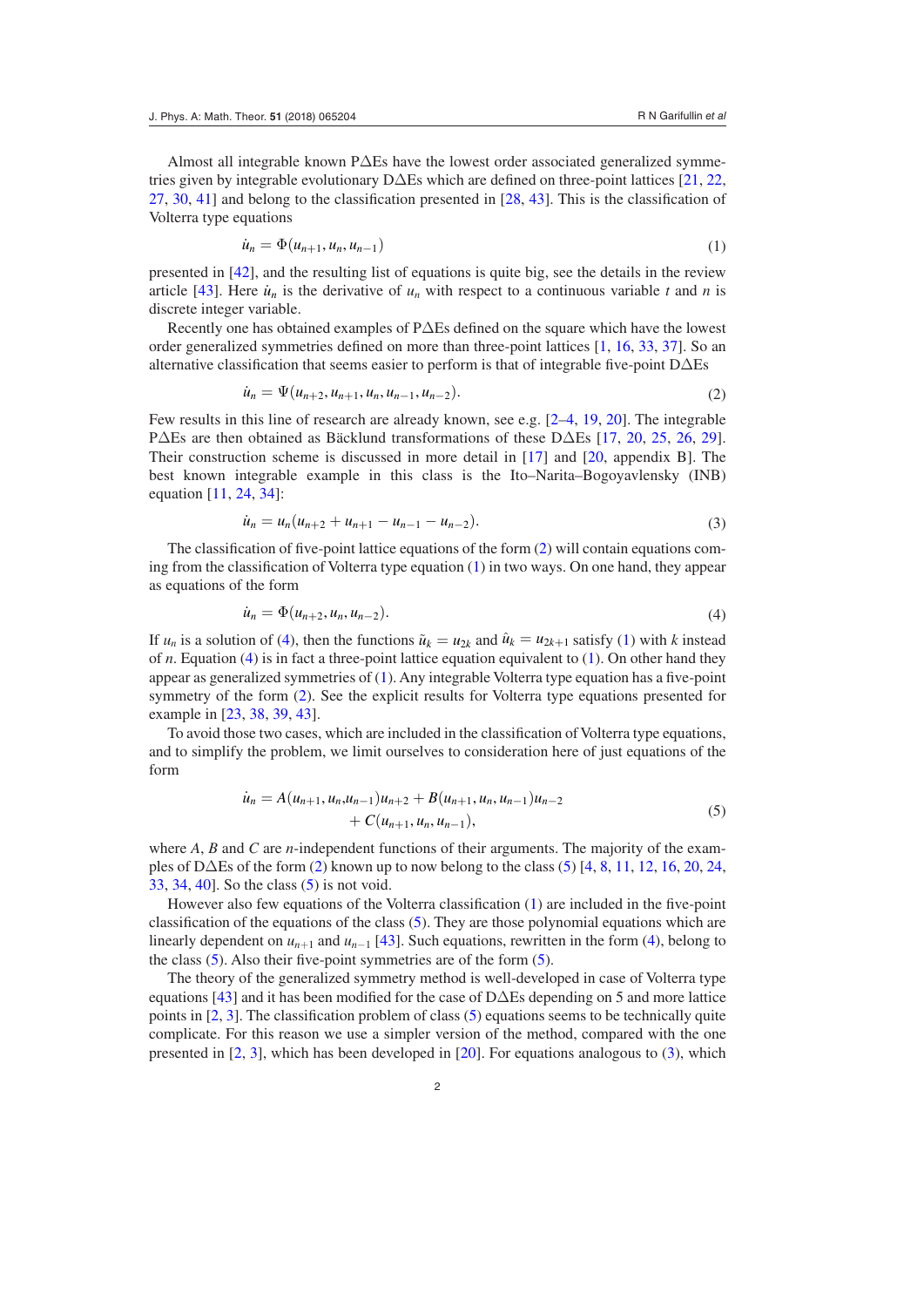Almost all integrable known PΔEs have the lowest order associated generalized symmetries given by integrable evolutionary DΔEs which are defined on three-point lattices [[21,](#page-14-9) [22,](#page-14-10) [27](#page-14-11), [30](#page-14-4), [41\]](#page-15-2) and belong to the classification presented in [[28,](#page-14-12) [43](#page-15-0)]. This is the classification of Volterra type equations

<span id="page-1-1"></span>
$$
\dot{u}_n = \Phi(u_{n+1}, u_n, u_{n-1})
$$
\n(1)

presented in [[42\]](#page-15-3), and the resulting list of equations is quite big, see the details in the review article [[43\]](#page-15-0). Here  $\dot{u}_n$  is the derivative of  $u_n$  with respect to a continuous variable *t* and *n* is discrete integer variable.

Recently one has obtained examples of PΔEs defined on the square which have the lowest order generalized symmetries defined on more than three-point lattices [\[1](#page-13-4), [16](#page-14-3), [33,](#page-14-13) [37\]](#page-14-14). So an alternative classification that seems easier to perform is that of integrable five-point DΔEs

<span id="page-1-0"></span>
$$
\dot{u}_n = \Psi(u_{n+2}, u_{n+1}, u_n, u_{n-1}, u_{n-2}). \tag{2}
$$

Few results in this line of research are already known, see e.g. [[2](#page-13-5)–[4](#page-13-6), [19](#page-14-15), [20\]](#page-14-0). The integrable PΔEs are then obtained as Bäcklund transformations of these DΔEs [[17,](#page-14-16) [20,](#page-14-0) [25](#page-14-17), [26](#page-14-18), [29](#page-14-19)]. Their construction scheme is discussed in more detail in [[17](#page-14-16)] and [[20](#page-14-0), appendix B]. The best known integrable example in this class is the Ito–Narita–Bogoyavlensky (INB) equation [[11,](#page-14-20) [24](#page-14-21), [34](#page-14-22)]:

<span id="page-1-4"></span>
$$
\dot{u}_n = u_n (u_{n+2} + u_{n+1} - u_{n-1} - u_{n-2}). \tag{3}
$$

The classification of five-point lattice equations of the form ([2\)](#page-1-0) will contain equations coming from the classification of Volterra type equation ([1\)](#page-1-1) in two ways. On one hand, they appear as equations of the form

<span id="page-1-2"></span>
$$
\dot{u}_n = \Phi(u_{n+2}, u_n, u_{n-2}).
$$
\n(4)

If  $u_n$  is a solution of ([4\)](#page-1-2), then the functions  $\tilde{u}_k = u_{2k}$  and  $\hat{u}_k = u_{2k+1}$  satisfy [\(1](#page-1-1)) with *k* instead of *n*. Equation [\(4](#page-1-2)) is in fact a three-point lattice equation equivalent to ([1\)](#page-1-1). On other hand they appear as generalized symmetries of ([1\)](#page-1-1). Any integrable Volterra type equation has a five-point symmetry of the form ([2\)](#page-1-0). See the explicit results for Volterra type equations presented for example in [[23,](#page-14-23) [38,](#page-14-24) [39,](#page-15-4) [43\]](#page-15-0).

To avoid those two cases, which are included in the classification of Volterra type equations, and to simplify the problem, we limit ourselves to consideration here of just equations of the form

<span id="page-1-3"></span>
$$
\dot{u}_n = A(u_{n+1}, u_n, u_{n-1})u_{n+2} + B(u_{n+1}, u_n, u_{n-1})u_{n-2} + C(u_{n+1}, u_n, u_{n-1}),
$$
\n(5)

where *A*, *B* and *C* are *n*-independent functions of their arguments. The majority of the examples of D $\Delta$ Es of the form ([2\)](#page-1-0) known up to now belong to the class [\(5](#page-1-3)) [\[4](#page-13-6), [8,](#page-13-7) [11,](#page-14-20) [12](#page-14-25), [16,](#page-14-3) [20,](#page-14-0) [24,](#page-14-21) [33,](#page-14-13) [34,](#page-14-22) [40\]](#page-15-5). So the class [\(5](#page-1-3)) is not void.

However also few equations of the Volterra classification [\(1](#page-1-1)) are included in the five-point classification of the equations of the class  $(5)$  $(5)$ . They are those polynomial equations which are linearly dependent on *un*+1 and *un*−1 [[43\]](#page-15-0). Such equations, rewritten in the form [\(4](#page-1-2)), belong to the class  $(5)$  $(5)$ . Also their five-point symmetries are of the form  $(5)$  $(5)$ .

The theory of the generalized symmetry method is well-developed in case of Volterra type equations [[43\]](#page-15-0) and it has been modified for the case of  $D\Delta$ Es depending on 5 and more lattice points in [\[2](#page-13-5), [3\]](#page-13-8). The classification problem of class [\(5](#page-1-3)) equations seems to be technically quite complicate. For this reason we use a simpler version of the method, compared with the one presented in [[2,](#page-13-5) [3](#page-13-8)], which has been developed in [[20\]](#page-14-0). For equations analogous to [\(3](#page-1-4)), which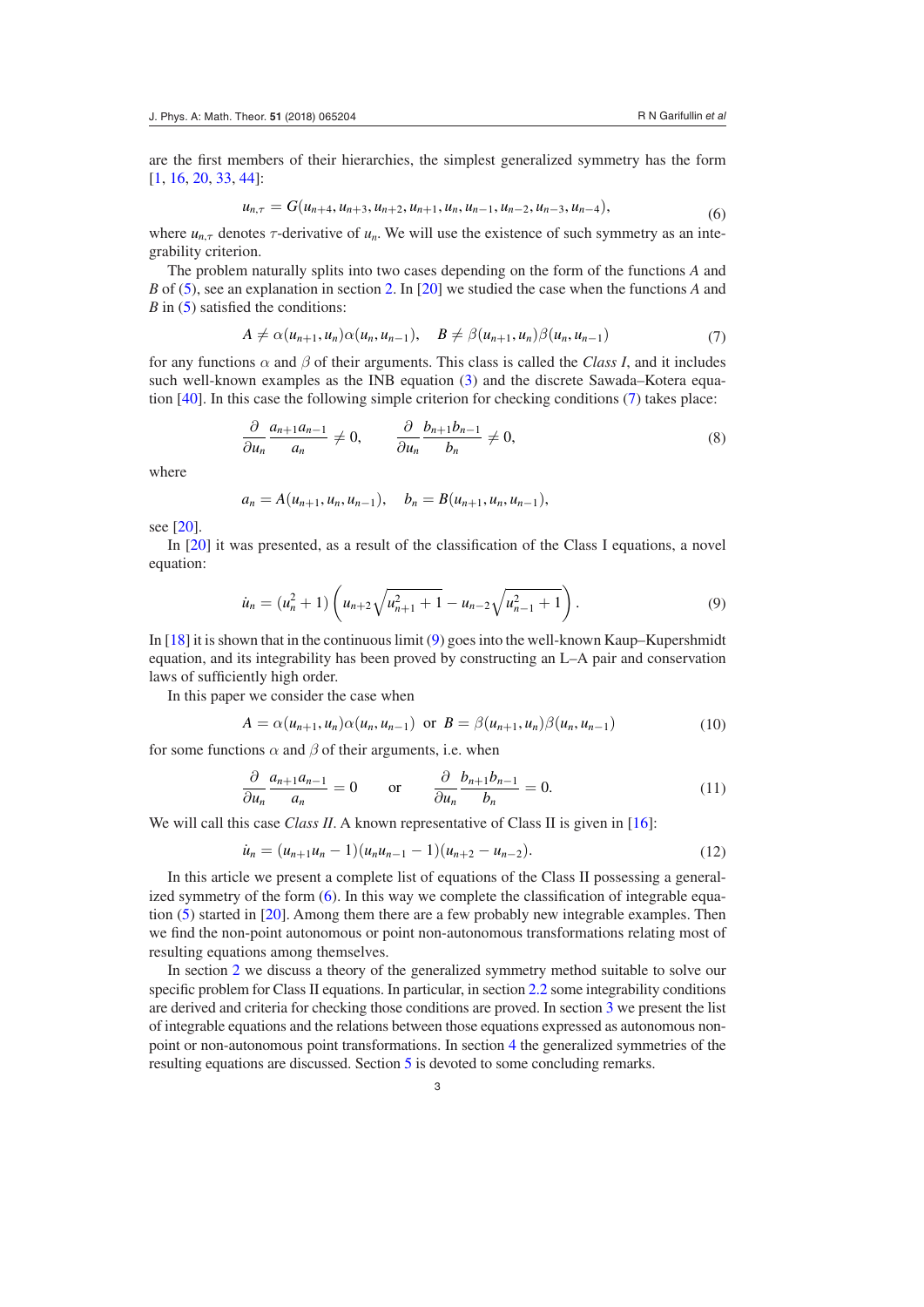are the first members of their hierarchies, the simplest generalized symmetry has the form [\[1](#page-13-4), [16](#page-14-3), [20](#page-14-0), [33](#page-14-13), [44](#page-15-6)]:

<span id="page-2-2"></span>
$$
u_{n,\tau} = G(u_{n+4}, u_{n+3}, u_{n+2}, u_{n+1}, u_n, u_{n-1}, u_{n-2}, u_{n-3}, u_{n-4}),
$$
\n(6)

where  $u_{n,\tau}$  denotes  $\tau$ -derivative of  $u_n$ . We will use the existence of such symmetry as an integrability criterion.

The problem naturally splits into two cases depending on the form of the functions *A* and *B* of [\(5](#page-1-3)), see an explanation in section [2](#page-3-0). In [[20\]](#page-14-0) we studied the case when the functions *A* and *B* in [\(5](#page-1-3)) satisfied the conditions:

<span id="page-2-0"></span>
$$
A \neq \alpha(u_{n+1}, u_n)\alpha(u_n, u_{n-1}), \quad B \neq \beta(u_{n+1}, u_n)\beta(u_n, u_{n-1})
$$
\n
$$
\tag{7}
$$

for any functions *α* and *β* of their arguments. This class is called the *Class I*, and it includes such well-known examples as the INB equation [\(3](#page-1-4)) and the discrete Sawada–Kotera equation [\[40](#page-15-5)]. In this case the following simple criterion for checking conditions ([7\)](#page-2-0) takes place:

$$
\frac{\partial}{\partial u_n} \frac{a_{n+1}a_{n-1}}{a_n} \neq 0, \qquad \frac{\partial}{\partial u_n} \frac{b_{n+1}b_{n-1}}{b_n} \neq 0,
$$
\n(8)

where

$$
a_n = A(u_{n+1}, u_n, u_{n-1}), \quad b_n = B(u_{n+1}, u_n, u_{n-1}),
$$

see [[20\]](#page-14-0).

In [[20\]](#page-14-0) it was presented, as a result of the classification of the Class I equations, a novel equation:

<span id="page-2-1"></span>
$$
\dot{u}_n = (u_n^2 + 1) \left( u_{n+2} \sqrt{u_{n+1}^2 + 1} - u_{n-2} \sqrt{u_{n-1}^2 + 1} \right). \tag{9}
$$

In [\[18](#page-14-26)] it is shown that in the continuous limit [\(9](#page-2-1)) goes into the well-known Kaup–Kupershmidt equation, and its integrability has been proved by constructing an L–A pair and conservation laws of sufficiently high order.

In this paper we consider the case when

<span id="page-2-3"></span>
$$
A = \alpha(u_{n+1}, u_n)\alpha(u_n, u_{n-1}) \text{ or } B = \beta(u_{n+1}, u_n)\beta(u_n, u_{n-1})
$$
 (10)

for some functions  $\alpha$  and  $\beta$  of their arguments, i.e. when

$$
\frac{\partial}{\partial u_n} \frac{a_{n+1}a_{n-1}}{a_n} = 0 \quad \text{or} \quad \frac{\partial}{\partial u_n} \frac{b_{n+1}b_{n-1}}{b_n} = 0. \tag{11}
$$

We will call this case *Class II*. A known representative of Class II is given in [[16\]](#page-14-3):

$$
\dot{u}_n = (u_{n+1}u_n - 1)(u_nu_{n-1} - 1)(u_{n+2} - u_{n-2}).
$$
\n(12)

In this article we present a complete list of equations of the Class II possessing a general-ized symmetry of the form ([6\)](#page-2-2). In this way we complete the classification of integrable equation [\(5](#page-1-3)) started in [\[20](#page-14-0)]. Among them there are a few probably new integrable examples. Then we find the non-point autonomous or point non-autonomous transformations relating most of resulting equations among themselves.

In section [2](#page-3-0) we discuss a theory of the generalized symmetry method suitable to solve our specific problem for Class II equations. In particular, in section [2.2](#page-4-0) some integrability conditions are derived and criteria for checking those conditions are proved. In section [3](#page-7-0) we present the list of integrable equations and the relations between those equations expressed as autonomous nonpoint or non-autonomous point transformations. In section [4](#page-11-0) the generalized symmetries of the resulting equations are discussed. Section [5](#page-13-9) is devoted to some concluding remarks.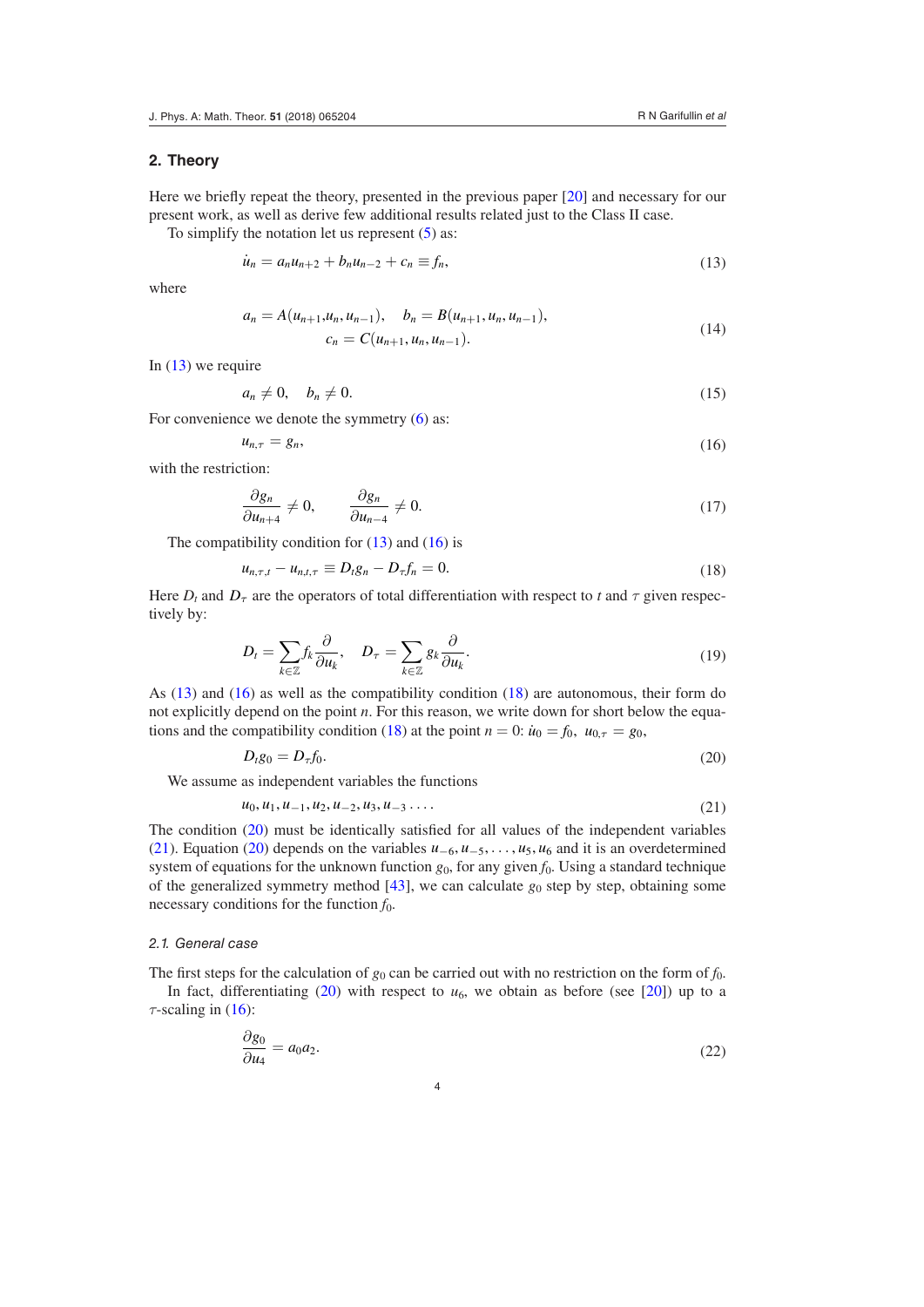## <span id="page-3-0"></span>**2. Theory**

Here we briefly repeat the theory, presented in the previous paper [\[20](#page-14-0)] and necessary for our present work, as well as derive few additional results related just to the Class II case.

To simplify the notation let us represent  $(5)$  $(5)$  as:

<span id="page-3-1"></span>
$$
\dot{u}_n = a_n u_{n+2} + b_n u_{n-2} + c_n \equiv f_n,\tag{13}
$$

where

$$
a_n = A(u_{n+1}, u_n, u_{n-1}), \quad b_n = B(u_{n+1}, u_n, u_{n-1}),
$$
  
\n
$$
c_n = C(u_{n+1}, u_n, u_{n-1}).
$$
\n(14)

In  $(13)$  $(13)$  we require

<span id="page-3-7"></span>
$$
a_n \neq 0, \quad b_n \neq 0. \tag{15}
$$

For convenience we denote the symmetry  $(6)$  $(6)$  as:

<span id="page-3-2"></span>
$$
u_{n,\tau} = g_n,\tag{16}
$$

with the restriction:

<span id="page-3-8"></span>
$$
\frac{\partial g_n}{\partial u_{n+4}} \neq 0, \qquad \frac{\partial g_n}{\partial u_{n-4}} \neq 0.
$$
 (17)

The compatibility condition for  $(13)$  $(13)$  and  $(16)$  $(16)$  is

<span id="page-3-3"></span>
$$
u_{n,\tau,t} - u_{n,t,\tau} \equiv D_t g_n - D_\tau f_n = 0.
$$
\n(18)

Here  $D_t$  and  $D_\tau$  are the operators of total differentiation with respect to *t* and  $\tau$  given respectively by:

$$
D_t = \sum_{k \in \mathbb{Z}} f_k \frac{\partial}{\partial u_k}, \quad D_\tau = \sum_{k \in \mathbb{Z}} g_k \frac{\partial}{\partial u_k}.
$$
 (19)

As ([13\)](#page-3-1) and [\(16](#page-3-2)) as well as the compatibility condition [\(18](#page-3-3)) are autonomous, their form do not explicitly depend on the point *n*. For this reason, we write down for short below the equa-tions and the compatibility condition [\(18](#page-3-3)) at the point  $n = 0$ :  $\dot{u}_0 = f_0$ ,  $u_{0,\tau} = g_0$ ,

<span id="page-3-4"></span>
$$
D_t g_0 = D_\tau f_0. \tag{20}
$$

We assume as independent variables the functions

<span id="page-3-5"></span>
$$
u_0, u_1, u_{-1}, u_2, u_{-2}, u_3, u_{-3} \ldots \tag{21}
$$

The condition ([20\)](#page-3-4) must be identically satisfied for all values of the independent variables [\(21](#page-3-5)). Equation [\(20](#page-3-4)) depends on the variables *u*−6, *u*−5, ... , *u*5, *u*6 and it is an overdetermined system of equations for the unknown function  $g_0$ , for any given  $f_0$ . Using a standard technique of the generalized symmetry method  $[43]$  $[43]$ , we can calculate  $g_0$  step by step, obtaining some necessary conditions for the function *f*0.

#### *2.1. General case*

The first steps for the calculation of  $g_0$  can be carried out with no restriction on the form of  $f_0$ . In fact, differentiating  $(20)$  $(20)$  with respect to  $u_6$ , we obtain as before (see [[20\]](#page-14-0)) up to a  $\tau$ -scaling in ([16\)](#page-3-2):

<span id="page-3-6"></span>
$$
\frac{\partial g_0}{\partial u_4} = a_0 a_2. \tag{22}
$$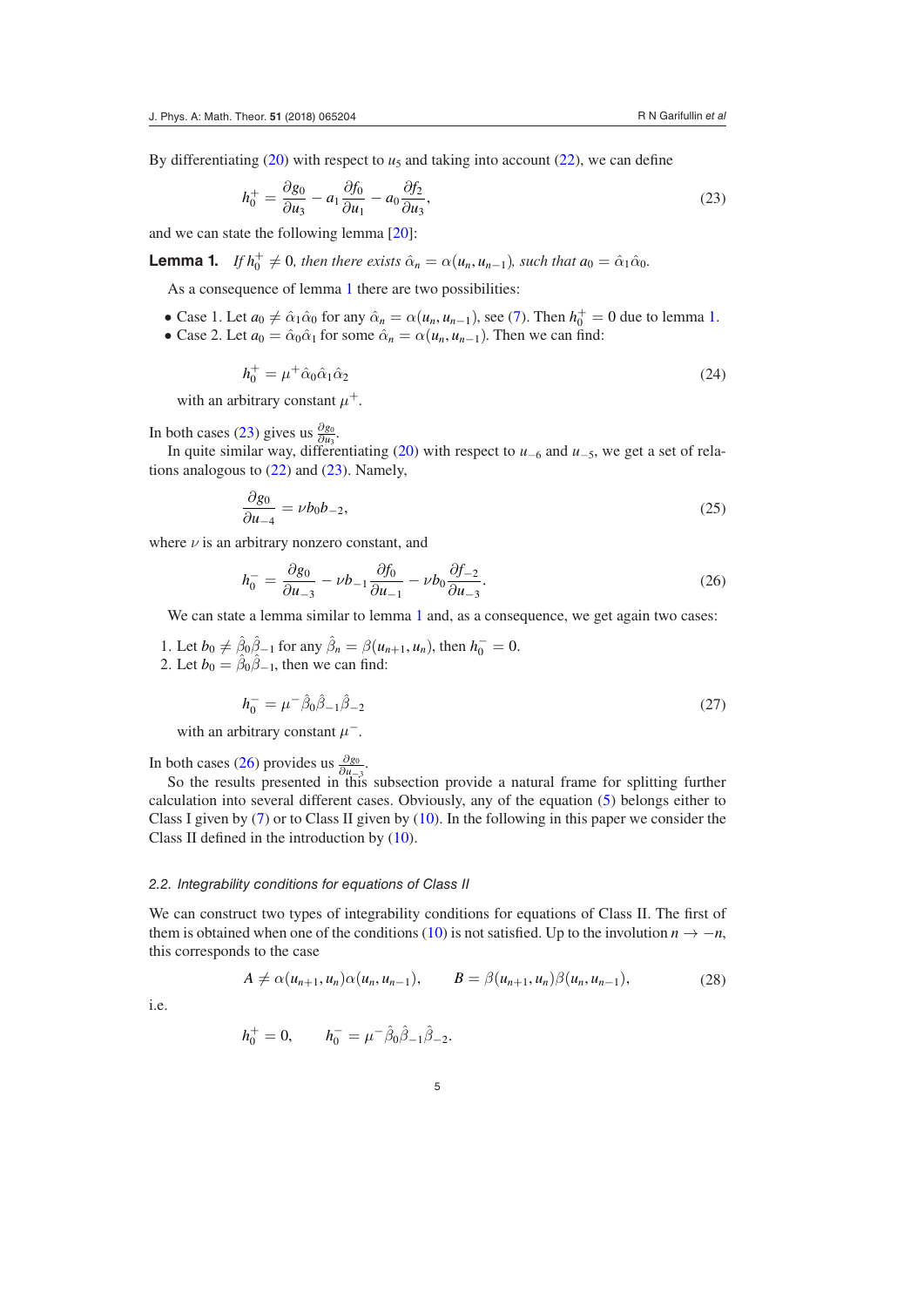By differentiating  $(20)$  $(20)$  with respect to  $u_5$  and taking into account  $(22)$  $(22)$ , we can define

<span id="page-4-2"></span><span id="page-4-1"></span>
$$
h_0^+ = \frac{\partial g_0}{\partial u_3} - a_1 \frac{\partial f_0}{\partial u_1} - a_0 \frac{\partial f_2}{\partial u_3},\tag{23}
$$

and we can state the following lemma [\[20](#page-14-0)]:

**Lemma 1.** *If*  $h_0^+ \neq 0$ *, then there exists*  $\hat{\alpha}_n = \alpha(u_n, u_{n-1})$ *, such that*  $a_0 = \hat{\alpha}_1 \hat{\alpha}_0$ *.* 

As a consequence of lemma [1](#page-4-1) there are two possibilities:

- Case [1](#page-4-1). Let  $a_0 \neq \hat{\alpha}_1 \hat{\alpha}_0$  for any  $\hat{\alpha}_n = \alpha(u_n, u_{n-1})$ , see ([7\)](#page-2-0). Then  $h_0^+ = 0$  due to lemma 1.
- Case 2. Let  $a_0 = \hat{\alpha}_0 \hat{\alpha}_1$  for some  $\hat{\alpha}_n = \alpha(u_n, u_{n-1})$ . Then we can find:

$$
h_0^+ = \mu^+ \hat{\alpha}_0 \hat{\alpha}_1 \hat{\alpha}_2 \tag{24}
$$

with an arbitrary constant  $\mu^+$ .

In both cases [\(23](#page-4-2)) gives us  $\frac{\partial g_0}{\partial u_3}$ .

In quite similar way, differentiating ([20\)](#page-3-4) with respect to *u*−6 and *u*−5, we get a set of relations analogous to  $(22)$  $(22)$  and  $(23)$  $(23)$ . Namely,

<span id="page-4-4"></span>
$$
\frac{\partial g_0}{\partial u_{-4}} = \nu b_0 b_{-2},\tag{25}
$$

where  $\nu$  is an arbitrary nonzero constant, and

<span id="page-4-3"></span>
$$
h_0^- = \frac{\partial g_0}{\partial u_{-3}} - \nu b_{-1} \frac{\partial f_0}{\partial u_{-1}} - \nu b_0 \frac{\partial f_{-2}}{\partial u_{-3}}.
$$
\n(26)

We can state a lemma similar to lemma [1](#page-4-1) and, as a consequence, we get again two cases:

1. Let  $b_0 \neq \hat{\beta}_0 \hat{\beta}_{-1}$  for any  $\hat{\beta}_n = \beta(u_{n+1}, u_n)$ , then  $h_0^- = 0$ . 2. Let  $b_0 = \hat{\beta}_0 \hat{\beta}_{-1}$ , then we can find:

$$
h_0^- = \mu^- \hat{\beta}_0 \hat{\beta}_{-1} \hat{\beta}_{-2} \tag{27}
$$

with an arbitrary constant  $\mu^-$ .

In both cases [\(26](#page-4-3)) provides us  $\frac{\partial g_0}{\partial x}$ .

So the results presented in this subsection provide a natural frame for splitting further calculation into several different cases. Obviously, any of the equation ([5\)](#page-1-3) belongs either to Class I given by  $(7)$  $(7)$  or to Class II given by  $(10)$  $(10)$ . In the following in this paper we consider the Class II defined in the introduction by [\(10](#page-2-3)).

## <span id="page-4-0"></span>*2.2. Integrability conditions for equations of Class II*

We can construct two types of integrability conditions for equations of Class II. The first of them is obtained when one of the conditions [\(10](#page-2-3)) is not satisfied. Up to the involution  $n \to -n$ , this corresponds to the case

<span id="page-4-5"></span>
$$
A \neq \alpha(u_{n+1}, u_n)\alpha(u_n, u_{n-1}), \qquad B = \beta(u_{n+1}, u_n)\beta(u_n, u_{n-1}), \qquad (28)
$$

i.e.

$$
h_0^+ = 0, \qquad h_0^- = \mu^- \hat{\beta}_0 \hat{\beta}_{-1} \hat{\beta}_{-2}.
$$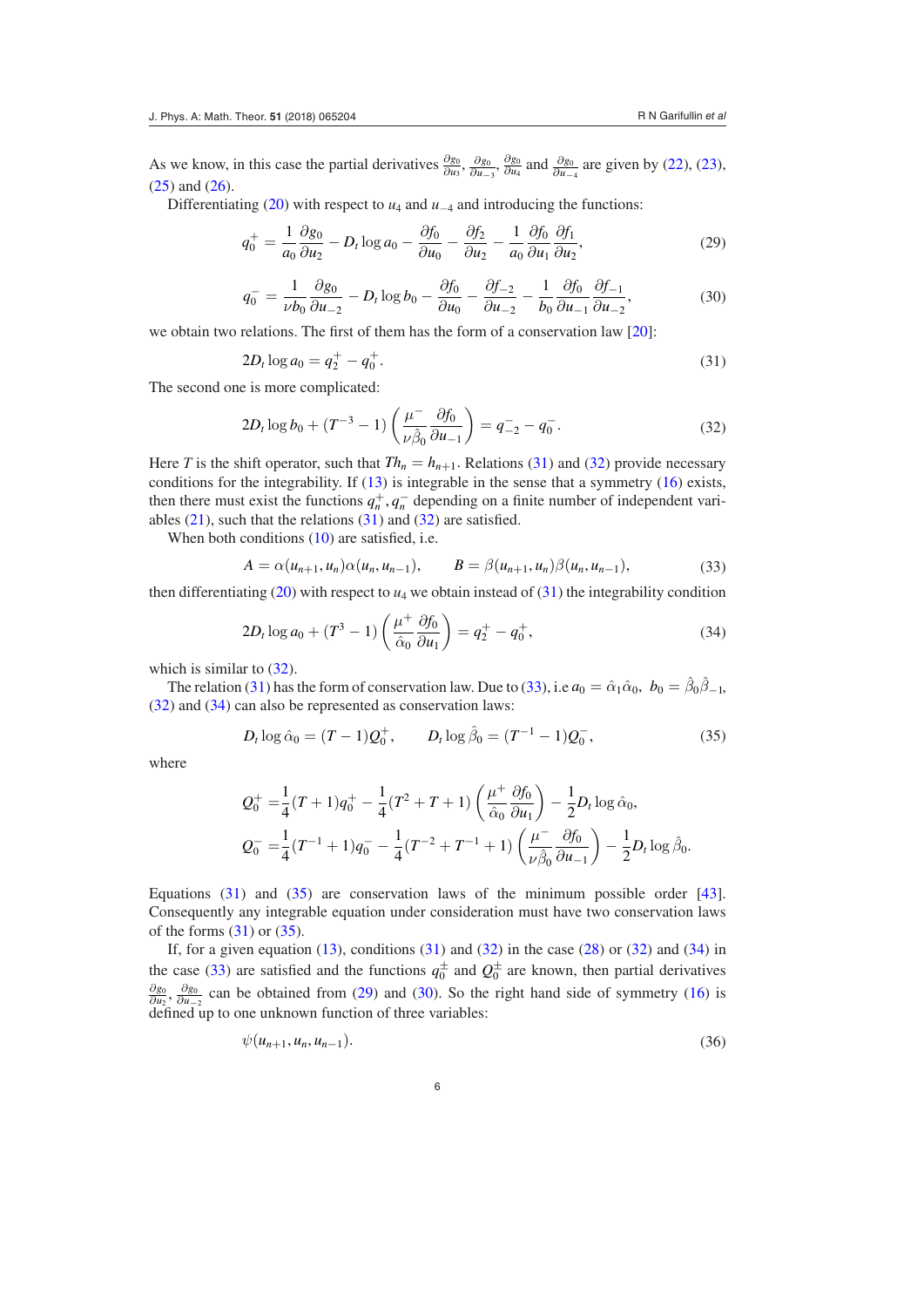As we know, in this case the partial derivatives  $\frac{\partial g_0}{\partial u_3}$ ,  $\frac{\partial g_0}{\partial u_{-3}}$ ,  $\frac{\partial g_0}{\partial u_4}$  and  $\frac{\partial g_0}{\partial u_{-4}}$  are given by [\(22](#page-3-6)), [\(23](#page-4-2)), [\(25](#page-4-4)) and [\(26](#page-4-3)).

Differentiating [\(20](#page-3-4)) with respect to  $u_4$  and  $u_{-4}$  and introducing the functions:

$$
q_0^+ = \frac{1}{a_0} \frac{\partial g_0}{\partial u_2} - D_t \log a_0 - \frac{\partial f_0}{\partial u_0} - \frac{\partial f_2}{\partial u_2} - \frac{1}{a_0} \frac{\partial f_0}{\partial u_1} \frac{\partial f_1}{\partial u_2},\tag{29}
$$

<span id="page-5-6"></span><span id="page-5-5"></span>
$$
q_0^- = \frac{1}{\nu b_0} \frac{\partial g_0}{\partial u_{-2}} - D_t \log b_0 - \frac{\partial f_0}{\partial u_0} - \frac{\partial f_{-2}}{\partial u_{-2}} - \frac{1}{b_0} \frac{\partial f_0}{\partial u_{-1}} \frac{\partial f_{-1}}{\partial u_{-2}},\tag{30}
$$

we obtain two relations. The first of them has the form of a conservation law [\[20](#page-14-0)]:

<span id="page-5-0"></span>
$$
2D_t \log a_0 = q_2^+ - q_0^+.
$$
\n(31)

The second one is more complicated:

<span id="page-5-1"></span>
$$
2D_t \log b_0 + (T^{-3} - 1) \left( \frac{\mu^{-}}{\nu \hat{\beta}_0} \frac{\partial f_0}{\partial u_{-1}} \right) = q_{-2}^- - q_0^-.
$$
 (32)

Here *T* is the shift operator, such that  $Th_n = h_{n+1}$ . Relations ([31\)](#page-5-0) and [\(32](#page-5-1)) provide necessary conditions for the integrability. If  $(13)$  $(13)$  is integrable in the sense that a symmetry  $(16)$  $(16)$  exists, then there must exist the functions  $q_n^+$ ,  $q_n^-$  depending on a finite number of independent variables  $(21)$  $(21)$ , such that the relations  $(31)$  $(31)$  and  $(32)$  $(32)$  are satisfied.

When both conditions [\(10](#page-2-3)) are satisfied, i.e.

<span id="page-5-2"></span>
$$
A = \alpha(u_{n+1}, u_n)\alpha(u_n, u_{n-1}), \qquad B = \beta(u_{n+1}, u_n)\beta(u_n, u_{n-1}), \qquad (33)
$$

then differentiating  $(20)$  $(20)$  with respect to  $u_4$  we obtain instead of  $(31)$  $(31)$  the integrability condition

<span id="page-5-3"></span>
$$
2D_t \log a_0 + (T^3 - 1) \left( \frac{\mu^+}{\hat{\alpha}_0} \frac{\partial f_0}{\partial u_1} \right) = q_2^+ - q_0^+, \tag{34}
$$

which is similar to  $(32)$  $(32)$ .

The relation [\(31](#page-5-0)) has the form of conservation law. Due to [\(33](#page-5-2)), i.e  $a_0 = \hat{\alpha}_1 \hat{\alpha}_0$ ,  $b_0 = \hat{\beta}_0 \hat{\beta}_{-1}$ , [\(32](#page-5-1)) and [\(34](#page-5-3)) can also be represented as conservation laws:

<span id="page-5-4"></span>
$$
D_t \log \hat{\alpha}_0 = (T - 1)Q_0^+, \qquad D_t \log \hat{\beta}_0 = (T^{-1} - 1)Q_0^-, \tag{35}
$$

where

$$
Q_0^+ = \frac{1}{4}(T+1)q_0^+ - \frac{1}{4}(T^2+T+1)\left(\frac{\mu^+}{\hat{\alpha}_0}\frac{\partial f_0}{\partial u_1}\right) - \frac{1}{2}D_t \log \hat{\alpha}_0,
$$
  

$$
Q_0^- = \frac{1}{4}(T^{-1}+1)q_0^- - \frac{1}{4}(T^{-2}+T^{-1}+1)\left(\frac{\mu^-}{\nu\hat{\beta}_0}\frac{\partial f_0}{\partial u_{-1}}\right) - \frac{1}{2}D_t \log \hat{\beta}_0.
$$

Equations [\(31](#page-5-0)) and [\(35](#page-5-4)) are conservation laws of the minimum possible order [\[43](#page-15-0)]. Consequently any integrable equation under consideration must have two conservation laws of the forms  $(31)$  $(31)$  or  $(35)$  $(35)$ .

If, for a given equation  $(13)$  $(13)$ , conditions  $(31)$  $(31)$  and  $(32)$  $(32)$  in the case  $(28)$  $(28)$  or  $(32)$  $(32)$  and  $(34)$  $(34)$  in the case ([33\)](#page-5-2) are satisfied and the functions  $q_0^{\pm}$  and  $Q_0^{\pm}$  are known, then partial derivatives  $\frac{\partial g_0}{\partial u_2}$ ,  $\frac{\partial g_0}{\partial u_{-2}}$  can be obtained from [\(29](#page-5-5)) and [\(30](#page-5-6)). So the right hand side of symmetry [\(16](#page-3-2)) is defined up to one unknown function of three variables:

<span id="page-5-7"></span>
$$
\psi(u_{n+1},u_n,u_{n-1}).\tag{36}
$$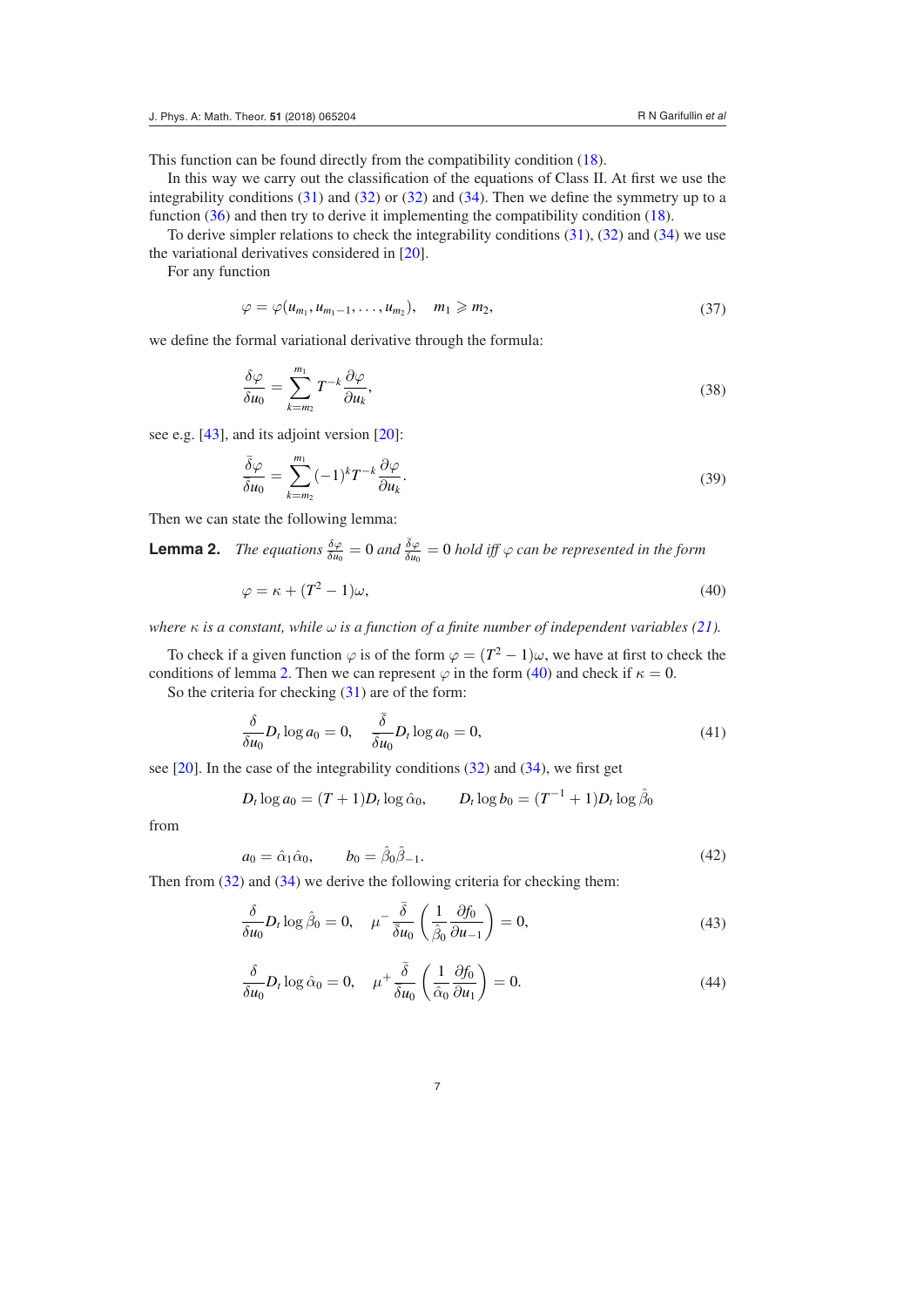This function can be found directly from the compatibility condition [\(18](#page-3-3)).

In this way we carry out the classification of the equations of Class II. At first we use the integrability conditions  $(31)$  $(31)$  and  $(32)$  $(32)$  or  $(32)$  $(32)$  and  $(34)$  $(34)$ . Then we define the symmetry up to a function [\(36](#page-5-7)) and then try to derive it implementing the compatibility condition ([18\)](#page-3-3).

To derive simpler relations to check the integrability conditions ([31\)](#page-5-0), ([32\)](#page-5-1) and ([34\)](#page-5-3) we use the variational derivatives considered in [[20\]](#page-14-0).

For any function

$$
\varphi = \varphi(u_{m_1}, u_{m_1-1}, \dots, u_{m_2}), \quad m_1 \geq m_2, \tag{37}
$$

we define the formal variational derivative through the formula:

$$
\frac{\delta\varphi}{\delta u_0} = \sum_{k=m_2}^{m_1} T^{-k} \frac{\partial\varphi}{\partial u_k},\tag{38}
$$

see e.g. [[43\]](#page-15-0), and its adjoint version [\[20](#page-14-0)]:

$$
\frac{\bar{\delta}\varphi}{\bar{\delta}u_0} = \sum_{k=m_2}^{m_1} (-1)^k T^{-k} \frac{\partial\varphi}{\partial u_k}.
$$
\n(39)

Then we can state the following lemma:

**Lemma 2.** *The equations*  $\frac{\delta \varphi}{\delta u_0} = 0$  and  $\frac{\bar{\delta} \varphi}{\delta u_0} = 0$  hold iff  $\varphi$  can be represented in the form

<span id="page-6-1"></span><span id="page-6-0"></span>
$$
\varphi = \kappa + (T^2 - 1)\omega,\tag{40}
$$

*where*  $\kappa$  *is a constant, while*  $\omega$  *is a function of a finite number of independent variables [\(21](#page-3-5)).* 

To check if a given function  $\varphi$  is of the form  $\varphi = (T^2 - 1)\omega$ , we have at first to check the conditions of lemma [2.](#page-6-0) Then we can represent  $\varphi$  in the form ([40\)](#page-6-1) and check if  $\kappa = 0$ .

So the criteria for checking ([31\)](#page-5-0) are of the form:

$$
\frac{\delta}{\delta u_0} D_t \log a_0 = 0, \quad \frac{\bar{\delta}}{\bar{\delta} u_0} D_t \log a_0 = 0,\tag{41}
$$

see [[20\]](#page-14-0). In the case of the integrability conditions [\(32](#page-5-1)) and ([34\)](#page-5-3), we first get

$$
D_t \log a_0 = (T+1)D_t \log \hat{\alpha}_0, \qquad D_t \log b_0 = (T^{-1}+1)D_t \log \hat{\beta}_0
$$

from

<span id="page-6-2"></span>
$$
a_0 = \hat{\alpha}_1 \hat{\alpha}_0, \qquad b_0 = \hat{\beta}_0 \hat{\beta}_{-1}.
$$
\n
$$
(42)
$$

Then from  $(32)$  $(32)$  and  $(34)$  $(34)$  we derive the following criteria for checking them:

<span id="page-6-3"></span>
$$
\frac{\delta}{\delta u_0} D_t \log \hat{\beta}_0 = 0, \quad \mu^- \frac{\bar{\delta}}{\bar{\delta} u_0} \left( \frac{1}{\hat{\beta}_0} \frac{\partial f_0}{\partial u_{-1}} \right) = 0,\tag{43}
$$

<span id="page-6-4"></span>
$$
\frac{\delta}{\delta u_0} D_t \log \hat{\alpha}_0 = 0, \quad \mu^+ \frac{\bar{\delta}}{\bar{\delta} u_0} \left( \frac{1}{\hat{\alpha}_0} \frac{\partial f_0}{\partial u_1} \right) = 0. \tag{44}
$$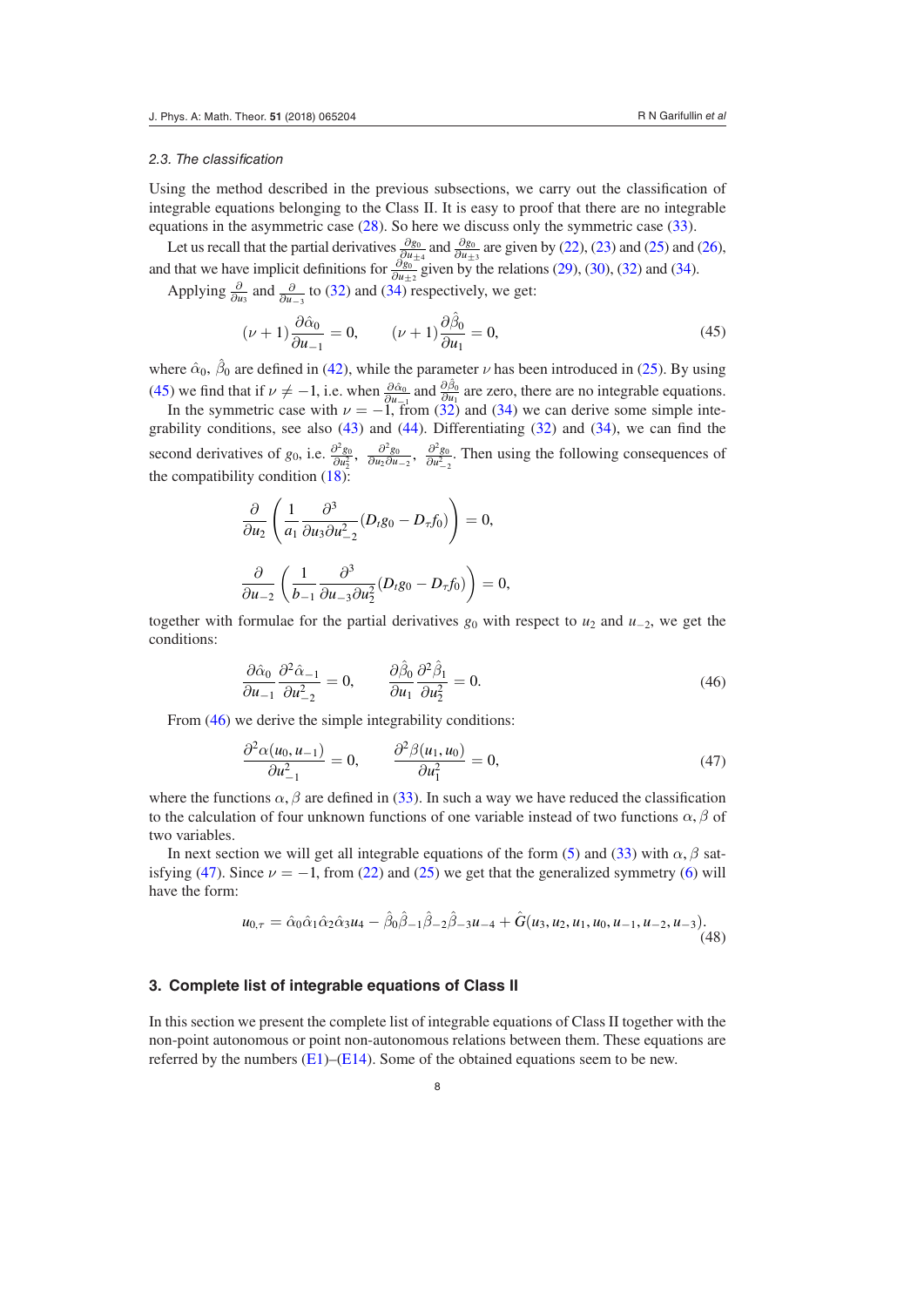#### *2.3. The classification*

Using the method described in the previous subsections, we carry out the classification of integrable equations belonging to the Class II. It is easy to proof that there are no integrable equations in the asymmetric case [\(28](#page-4-5)). So here we discuss only the symmetric case [\(33](#page-5-2)).

Let us recall that the partial derivatives  $\frac{\partial g_0}{\partial u_{\pm 4}}$  and  $\frac{\partial g_0}{\partial u_{\pm 3}}$  are given by ([22](#page-3-6)), [\(23\)](#page-4-2) and [\(25](#page-4-4)) and ([26](#page-4-3)), and that we have implicit definitions for  $\frac{\partial g_0}{\partial u_{\pm 2}}$  given by the relations [\(29](#page-5-5)), [\(30\)](#page-5-6), [\(32\)](#page-5-1) and ([34](#page-5-3)).

Applying  $\frac{\partial}{\partial u_3}$  and  $\frac{\partial}{\partial u_{-3}}$  to ([32\)](#page-5-1) and ([34\)](#page-5-3) respectively, we get:

<span id="page-7-1"></span>
$$
(\nu + 1)\frac{\partial \hat{\alpha}_0}{\partial u_{-1}} = 0, \qquad (\nu + 1)\frac{\partial \hat{\beta}_0}{\partial u_1} = 0,
$$
\n(45)

where  $\hat{\alpha}_0$ ,  $\hat{\beta}_0$  are defined in [\(42](#page-6-2)), while the parameter *ν* has been introduced in [\(25](#page-4-4)). By using [\(45](#page-7-1)) we find that if  $\nu \neq -1$ , i.e. when  $\frac{\partial \hat{\alpha}_0}{\partial u_{\vec{k}}}\$  and  $\frac{\partial \hat{\beta}_0}{\partial x}$  are zero, there are no integrable equations.

In the symmetric case with  $\nu = -1$ , from [\(32](#page-5-1)) and [\(34](#page-5-3)) we can derive some simple integrability conditions, see also  $(43)$  $(43)$  and  $(44)$  $(44)$ . Differentiating  $(32)$  $(32)$  and  $(34)$  $(34)$ , we can find the second derivatives of  $g_0$ , i.e.  $\frac{\partial^2 g_0}{\partial u_2 \partial u_{-2}}$ ,  $\frac{\partial^2 g_0}{\partial u_2^2}$ . Then using the following consequences of the compatibility condition [\(18](#page-3-3)):

$$
\frac{\partial}{\partial u_2} \left( \frac{1}{a_1} \frac{\partial^3}{\partial u_3 \partial u_{-2}^2} (D_t g_0 - D_\tau f_0) \right) = 0,
$$
  

$$
\frac{\partial}{\partial u_{-2}} \left( \frac{1}{b_{-1}} \frac{\partial^3}{\partial u_{-3} \partial u_2^2} (D_t g_0 - D_\tau f_0) \right) = 0,
$$

together with formulae for the partial derivatives  $g_0$  with respect to  $u_2$  and  $u_{-2}$ , we get the conditions:

<span id="page-7-2"></span>
$$
\frac{\partial \hat{\alpha}_0}{\partial u_{-1}} \frac{\partial^2 \hat{\alpha}_{-1}}{\partial u_{-2}^2} = 0, \qquad \frac{\partial \hat{\beta}_0}{\partial u_1} \frac{\partial^2 \hat{\beta}_1}{\partial u_2^2} = 0.
$$
\n(46)

From ([46\)](#page-7-2) we derive the simple integrability conditions:

<span id="page-7-3"></span>
$$
\frac{\partial^2 \alpha(u_0, u_{-1})}{\partial u_{-1}^2} = 0, \qquad \frac{\partial^2 \beta(u_1, u_0)}{\partial u_1^2} = 0,
$$
\n(47)

where the functions  $\alpha$ ,  $\beta$  are defined in ([33\)](#page-5-2). In such a way we have reduced the classification to the calculation of four unknown functions of one variable instead of two functions  $\alpha$ ,  $\beta$  of two variables.

In next section we will get all integrable equations of the form ([5\)](#page-1-3) and [\(33](#page-5-2)) with  $\alpha$ ,  $\beta$  sat-isfying ([47\)](#page-7-3). Since  $\nu = -1$ , from [\(22](#page-3-6)) and [\(25](#page-4-4)) we get that the generalized symmetry ([6\)](#page-2-2) will have the form:

<span id="page-7-4"></span>
$$
u_{0,\tau} = \hat{\alpha}_0 \hat{\alpha}_1 \hat{\alpha}_2 \hat{\alpha}_3 u_4 - \hat{\beta}_0 \hat{\beta}_{-1} \hat{\beta}_{-2} \hat{\beta}_{-3} u_{-4} + \hat{G}(u_3, u_2, u_1, u_0, u_{-1}, u_{-2}, u_{-3}).
$$
\n(48)

## <span id="page-7-0"></span>**3. Complete list of integrable equations of Class II**

In this section we present the complete list of integrable equations of Class II together with the non-point autonomous or point non-autonomous relations between them. These equations are referred by the numbers  $(E1)$  $(E1)$ – $(E14)$ . Some of the obtained equations seem to be new.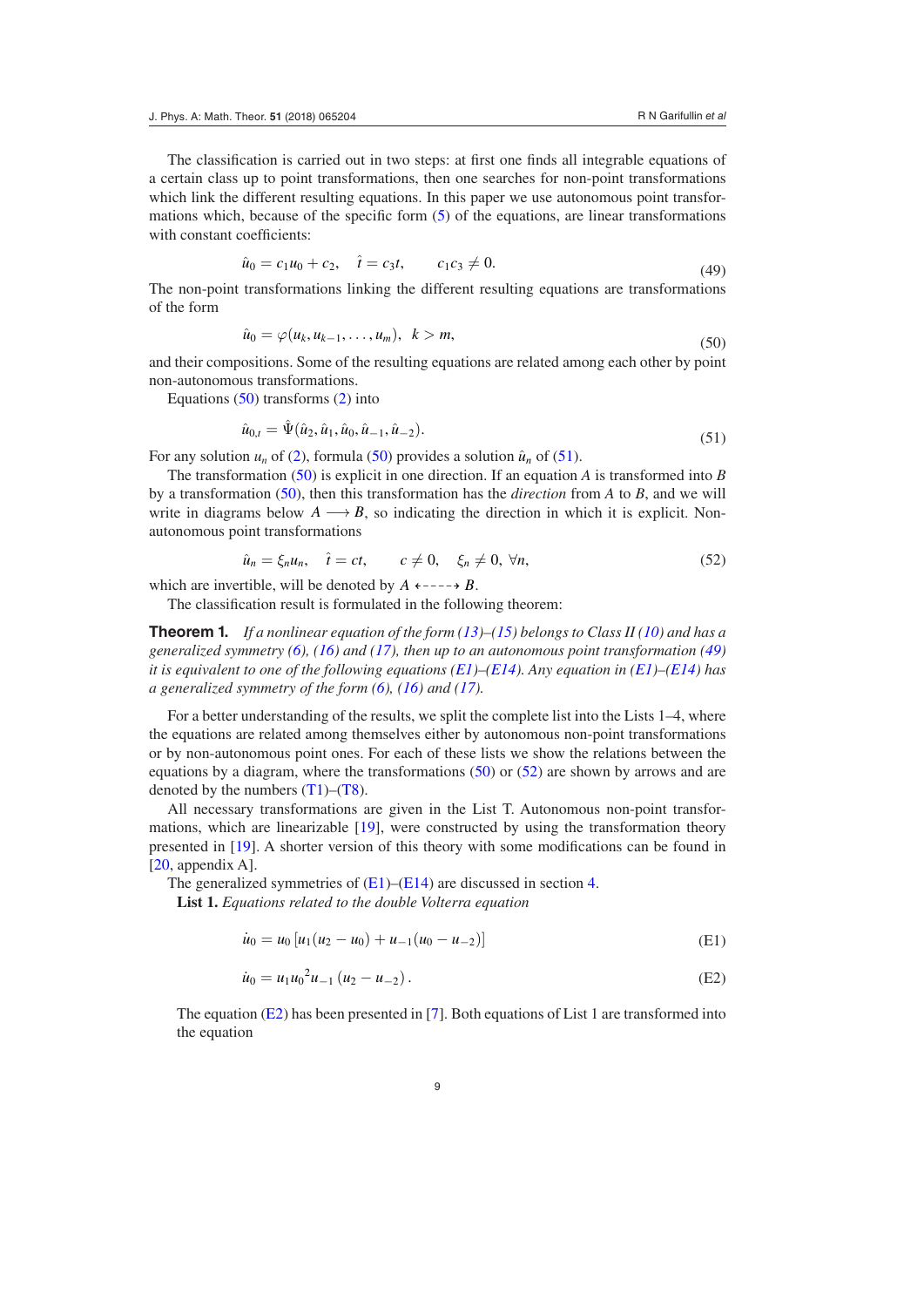The classification is carried out in two steps: at first one finds all integrable equations of a certain class up to point transformations, then one searches for non-point transformations which link the different resulting equations. In this paper we use autonomous point transformations which, because of the specific form ([5\)](#page-1-3) of the equations, are linear transformations with constant coefficients:

<span id="page-8-3"></span>
$$
\hat{u}_0 = c_1 u_0 + c_2, \quad \hat{t} = c_3 t, \qquad c_1 c_3 \neq 0.
$$
\n(49)

The non-point transformations linking the different resulting equations are transformations of the form

<span id="page-8-1"></span>
$$
\hat{u}_0 = \varphi(u_k, u_{k-1}, \dots, u_m), \quad k > m,\tag{50}
$$

and their compositions. Some of the resulting equations are related among each other by point non-autonomous transformations.

Equations  $(50)$  $(50)$  transforms  $(2)$  $(2)$  into

<span id="page-8-2"></span>
$$
\hat{u}_{0,t} = \hat{\Psi}(\hat{u}_2, \hat{u}_1, \hat{u}_0, \hat{u}_{-1}, \hat{u}_{-2}).
$$
\n(51)

For any solution  $u_n$  of ([2\)](#page-1-0), formula ([50\)](#page-8-1) provides a solution  $\hat{u}_n$  of ([51\)](#page-8-2).

The transformation ([50\)](#page-8-1) is explicit in one direction. If an equation *A* is transformed into *B* by a transformation ([50\)](#page-8-1), then this transformation has the *direction* from *A* to *B*, and we will write in diagrams below  $A \longrightarrow B$ , so indicating the direction in which it is explicit. Nonautonomous point transformations

<span id="page-8-4"></span>
$$
\hat{u}_n = \xi_n u_n, \quad \hat{t} = ct, \qquad c \neq 0, \quad \xi_n \neq 0, \forall n,
$$
\n
$$
(52)
$$

which are invertible, will be denoted by  $A \leftarrow - - \rightarrow B$ .

The classification result is formulated in the following theorem:

**Theorem 1.** *If a nonlinear equation of the form [\(13](#page-3-1))–[\(15](#page-3-7)) belongs to Class II ([10\)](#page-2-3) and has a generalized symmetry ([6\)](#page-2-2), [\(16](#page-3-2)) and ([17\)](#page-3-8), then up to an autonomous point transformation ([49\)](#page-8-3) it is equivalent to one of the following equations ([E1\)](#page-8-0)–[\(E14\)](#page-10-0). Any equation in ([E1\)](#page-8-0)–[\(E14](#page-10-0)) has a generalized symmetry of the form ([6\)](#page-2-2), ([16\)](#page-3-2) and [\(17](#page-3-8)).*

For a better understanding of the results, we split the complete list into the Lists 1–4, where the equations are related among themselves either by autonomous non-point transformations or by non-autonomous point ones. For each of these lists we show the relations between the equations by a diagram, where the transformations [\(50](#page-8-1)) or ([52\)](#page-8-4) are shown by arrows and are denoted by the numbers  $(T1)$  $(T1)$ – $(T8)$ .

All necessary transformations are given in the List T. Autonomous non-point transformations, which are linearizable [[19\]](#page-14-15), were constructed by using the transformation theory presented in [[19\]](#page-14-15). A shorter version of this theory with some modifications can be found in  $[20,$  $[20,$  appendix A].

The generalized symmetries of  $(E1)$ – $(E14)$  $(E14)$  are discussed in section [4.](#page-11-0)

**List 1.** *Equations related to the double Volterra equation*

<span id="page-8-0"></span>
$$
\dot{u}_0 = u_0 \left[ u_1 (u_2 - u_0) + u_{-1} (u_0 - u_{-2}) \right] \tag{E1}
$$

<span id="page-8-5"></span>
$$
\dot{u}_0 = u_1 u_0^2 u_{-1} (u_2 - u_{-2}). \tag{E2}
$$

 The equation [\(E2\)](#page-8-5) has been presented in [[7\]](#page-13-10). Both equations of List 1 are transformed into the equation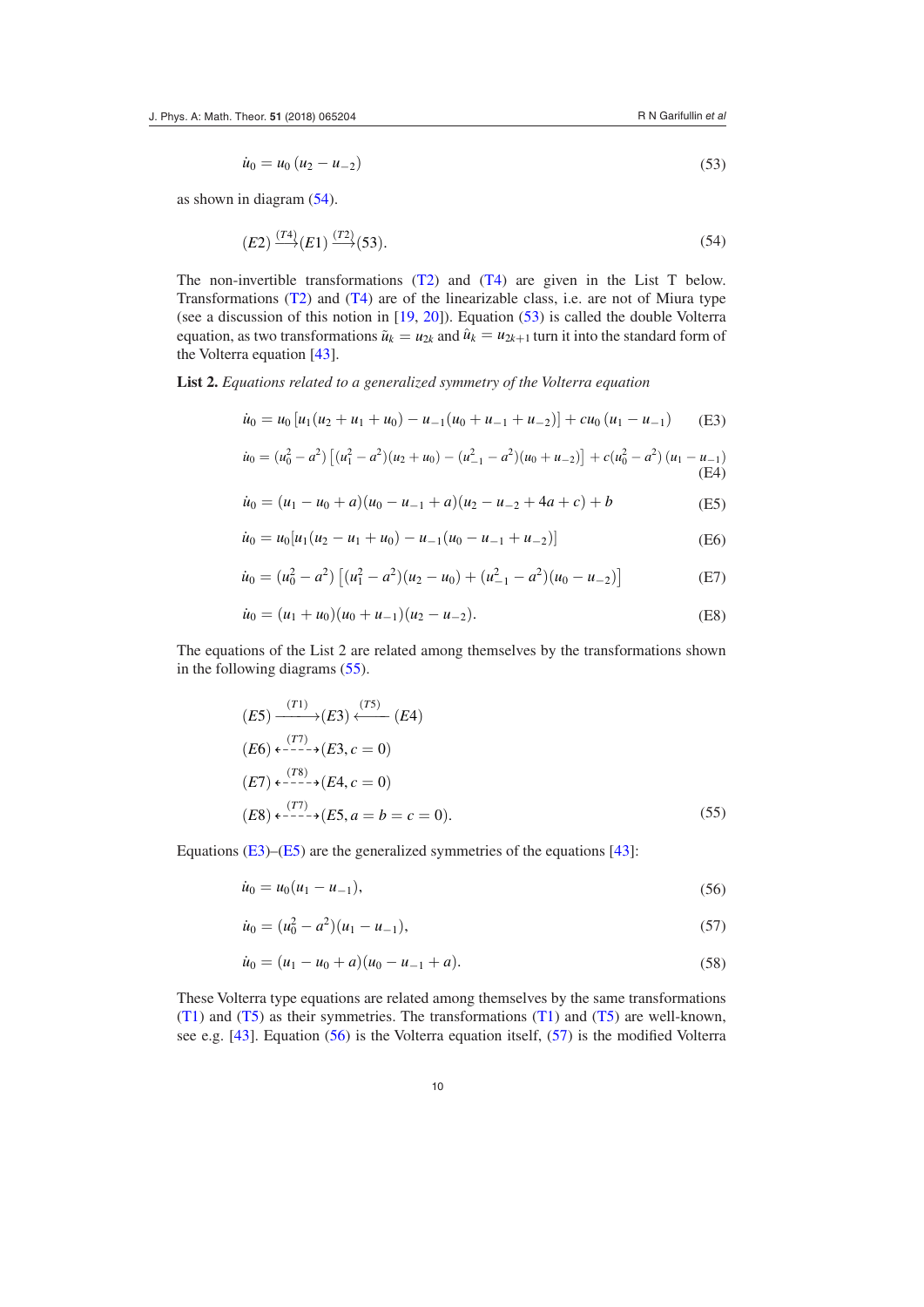<span id="page-9-1"></span>
$$
\dot{u}_0 = u_0 \left( u_2 - u_{-2} \right) \tag{53}
$$

as shown in diagram [\(54](#page-9-0)).

<span id="page-9-0"></span>
$$
(E2)\stackrel{(T4)}{\longrightarrow}(E1)\stackrel{(T2)}{\longrightarrow}(53).
$$

The non-invertible transformations  $(T2)$  $(T2)$  and  $(T4)$  $(T4)$  are given in the List T below. Transformations ([T2\)](#page-11-3) and ([T4](#page-11-4)) are of the linearizable class, i.e. are not of Miura type (see a discussion of this notion in [\[19](#page-14-15), [20\]](#page-14-0)). Equation ([53\)](#page-9-1) is called the double Volterra equation, as two transformations  $\tilde{u}_k = u_{2k}$  and  $\hat{u}_k = u_{2k+1}$  turn it into the standard form of the Volterra equation [\[43](#page-15-0)].

**List 2.** *Equations related to a generalized symmetry of the Volterra equation*

<span id="page-9-3"></span>
$$
\dot{u}_0 = u_0 \left[ u_1 (u_2 + u_1 + u_0) - u_{-1} (u_0 + u_{-1} + u_{-2}) \right] + c u_0 \left( u_1 - u_{-1} \right) \tag{E3}
$$

<span id="page-9-9"></span>
$$
\dot{u}_0 = (u_0^2 - a^2) \left[ (u_1^2 - a^2)(u_2 + u_0) - (u_{-1}^2 - a^2)(u_0 + u_{-2}) \right] + c(u_0^2 - a^2) (u_1 - u_{-1})
$$
\n
$$
(E4)
$$

<span id="page-9-4"></span>
$$
\dot{u}_0 = (u_1 - u_0 + a)(u_0 - u_{-1} + a)(u_2 - u_{-2} + 4a + c) + b \tag{E5}
$$

<span id="page-9-7"></span>
$$
\dot{u}_0 = u_0[u_1(u_2 - u_1 + u_0) - u_{-1}(u_0 - u_{-1} + u_{-2})]
$$
 (E6)

$$
\dot{u}_0 = (u_0^2 - a^2) \left[ (u_1^2 - a^2)(u_2 - u_0) + (u_{-1}^2 - a^2)(u_0 - u_{-2}) \right]
$$
 (E7)

<span id="page-9-8"></span>
$$
\dot{u}_0 = (u_1 + u_0)(u_0 + u_{-1})(u_2 - u_{-2}).
$$
\n(E8)

 The equations of the List 2 are related among themselves by the transformations shown in the following diagrams ([55\)](#page-9-2).

$$
(E5) \xrightarrow{(T1)} (E3) \xleftarrow{(T5)} (E4)
$$
  
\n
$$
(E6) \xleftarrow{ (T7)} (F3), c = 0)
$$
  
\n
$$
(E7) \xleftarrow{ (T8)} (E4, c = 0)
$$
  
\n
$$
(E8) \xleftarrow{ (T7)} (E5, a = b = c = 0).
$$
\n(55)

Equations ([E3\)](#page-9-3)–([E5\)](#page-9-4) are the generalized symmetries of the equations [[43\]](#page-15-0):

<span id="page-9-5"></span><span id="page-9-2"></span>
$$
\dot{u}_0 = u_0(u_1 - u_{-1}),\tag{56}
$$

<span id="page-9-6"></span>
$$
\dot{u}_0 = (u_0^2 - a^2)(u_1 - u_{-1}),\tag{57}
$$

$$
\dot{u}_0 = (u_1 - u_0 + a)(u_0 - u_{-1} + a). \tag{58}
$$

 These Volterra type equations are related among themselves by the same transformations [\(T1](#page-11-1)) and ([T5](#page-11-5)) as their symmetries. The transformations [\(T1](#page-11-1)) and ([T5](#page-11-5)) are well-known, see e.g. [[43\]](#page-15-0). Equation ([56\)](#page-9-5) is the Volterra equation itself, ([57\)](#page-9-6) is the modified Volterra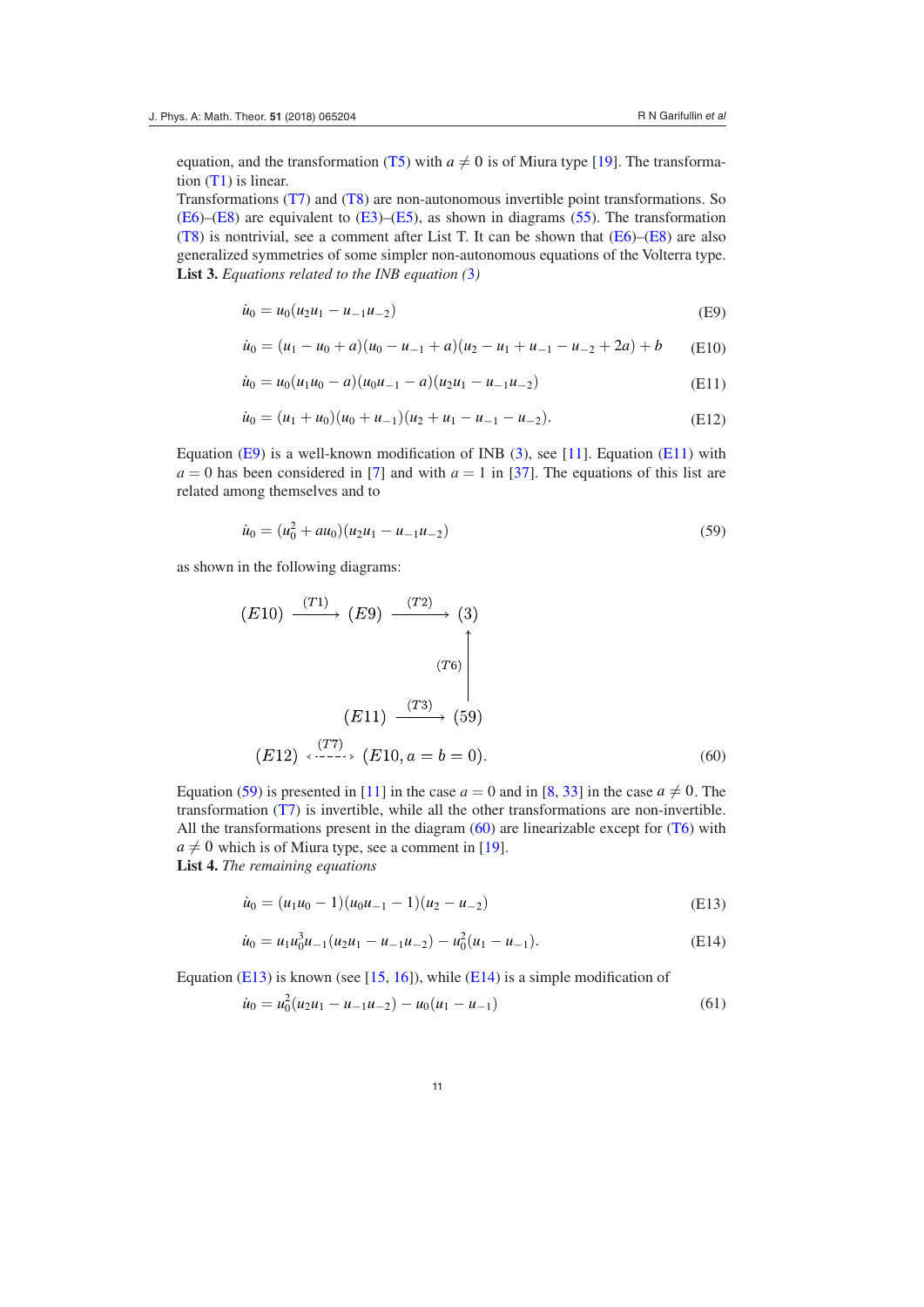equation, and the transformation [\(T5](#page-11-5)) with  $a \neq 0$  is of Miura type [[19\]](#page-14-15). The transformation [\(T1](#page-11-1)) is linear.

 Transformations ([T7\)](#page-11-6) and ([T8\)](#page-11-2) are non-autonomous invertible point transformations. So [\(E6](#page-9-7))–[\(E8](#page-9-8)) are equivalent to ([E3\)](#page-9-3)–[\(E5](#page-9-4)), as shown in diagrams [\(55](#page-9-2)). The transformation [\(T8](#page-11-2)) is nontrivial, see a comment after List T. It can be shown that  $(E6)$  $(E6)$ – $(E8)$  $(E8)$  are also generalized symmetries of some simpler non-autonomous equations of the Volterra type. **List 3.** *Equations related to the INB equation (*[3](#page-1-4)*)*

$$
\dot{u}_0 = u_0 (u_2 u_1 - u_{-1} u_{-2})
$$
 (E9)

<span id="page-10-1"></span>
$$
\dot{u}_0 = (u_1 - u_0 + a)(u_0 - u_{-1} + a)(u_2 - u_1 + u_{-1} - u_{-2} + 2a) + b \tag{E10}
$$

<span id="page-10-2"></span>
$$
\dot{u}_0 = u_0(u_1u_0 - a)(u_0u_{-1} - a)(u_2u_1 - u_{-1}u_{-2})
$$
\n(E11)

<span id="page-10-7"></span>
$$
\dot{u}_0 = (u_1 + u_0)(u_0 + u_{-1})(u_2 + u_1 - u_{-1} - u_{-2}).
$$
\n(E12)

Equation ([E9\)](#page-10-1) is a well-known modification of INB [\(3](#page-1-4)), see [[11\]](#page-14-20). Equation ([E11\)](#page-10-2) with  $a = 0$  has been considered in [\[7](#page-13-10)] and with  $a = 1$  in [\[37](#page-14-14)]. The equations of this list are related among themselves and to

<span id="page-10-3"></span>
$$
\dot{u}_0 = (u_0^2 + au_0)(u_2u_1 - u_{-1}u_{-2})
$$
\n(59)

as shown in the following diagrams:

$$
(E10) \xrightarrow{(T1)} (E9) \xrightarrow{(T2)} (3)
$$
\n
$$
(T6)
$$
\n
$$
(E11) \xrightarrow{(T3)} (59)
$$
\n
$$
(E12) \xleftarrow{(T7)} (E10, a = b = 0).
$$
\n(60)

<span id="page-10-4"></span>Equation [\(59](#page-10-3)) is presented in [[11\]](#page-14-20) in the case  $a = 0$  and in [[8,](#page-13-7) [33\]](#page-14-13) in the case  $a \neq 0$ . The transformation [\(T7\)](#page-11-6) is invertible, while all the other transformations are non-invertible. All the transformations present in the diagram  $(60)$  $(60)$  are linearizable except for  $(T6)$  $(T6)$  with  $a \neq 0$  which is of Miura type, see a comment in [\[19](#page-14-15)]. **List 4.** *The remaining equations*

<span id="page-10-5"></span>
$$
\dot{u}_0 = (u_1 u_0 - 1)(u_0 u_{-1} - 1)(u_2 - u_{-2})
$$
\n(E13)

<span id="page-10-0"></span>
$$
\dot{u}_0 = u_1 u_0^3 u_{-1} (u_2 u_1 - u_{-1} u_{-2}) - u_0^2 (u_1 - u_{-1}). \tag{E14}
$$

Equation ([E13](#page-10-5)) is known (see [\[15](#page-14-27), [16](#page-14-3)]), while [\(E14](#page-10-0)) is a simple modification of

<span id="page-10-6"></span>
$$
\dot{u}_0 = u_0^2 (u_2 u_1 - u_{-1} u_{-2}) - u_0 (u_1 - u_{-1})
$$
\n(61)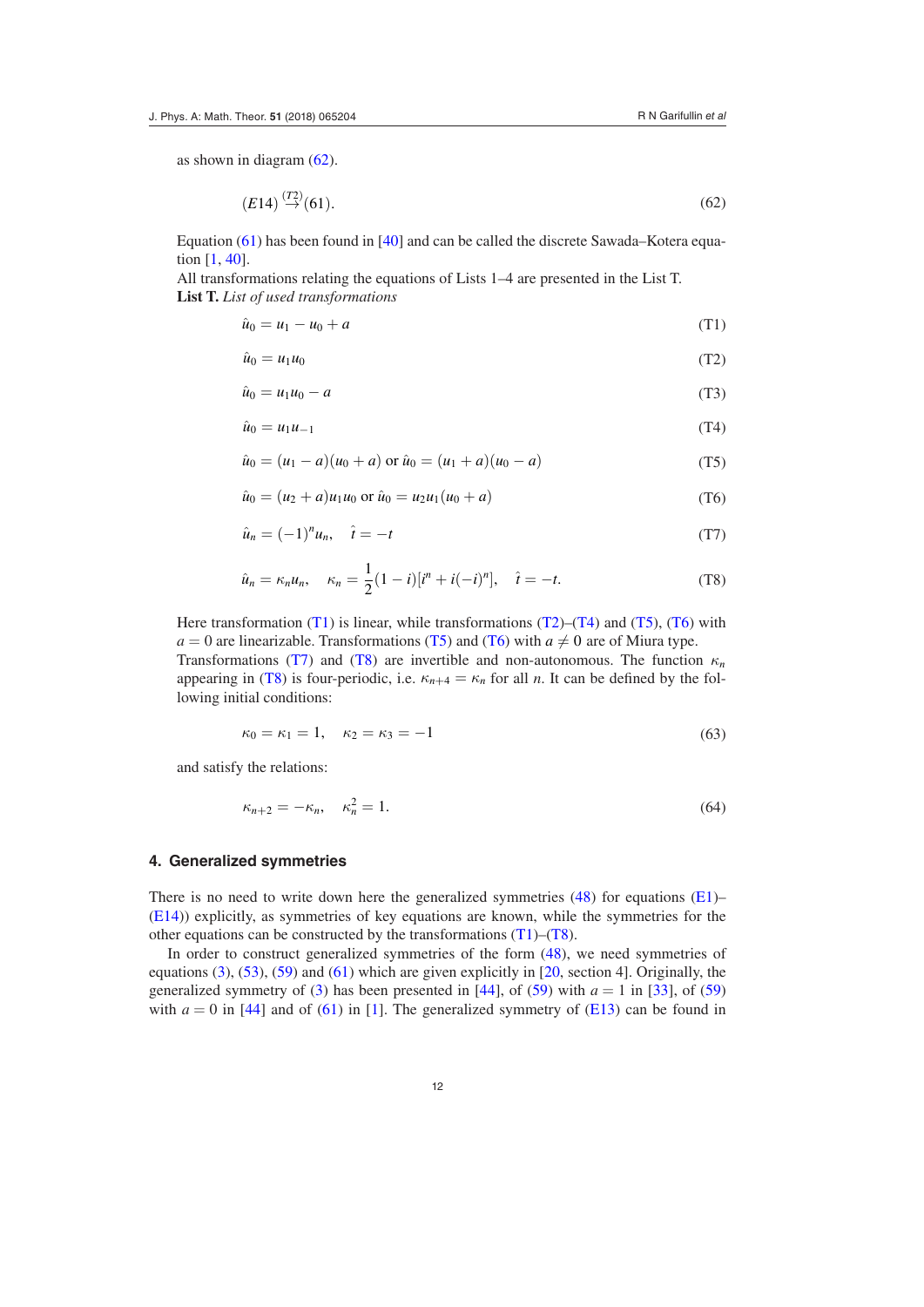as shown in diagram [\(62](#page-11-8)).

<span id="page-11-8"></span>
$$
(E14) \stackrel{(T2)}{\rightarrow} (61). \tag{62}
$$

 Equation ([61\)](#page-10-6) has been found in [[40\]](#page-15-5) and can be called the discrete Sawada–Kotera equation [\[1](#page-13-4), [40](#page-15-5)].

 All transformations relating the equations of Lists 1–4 are presented in the List T. **List T.** *List of used transformations*

<span id="page-11-1"></span>
$$
\hat{u}_0 = u_1 - u_0 + a \tag{T1}
$$

<span id="page-11-3"></span>
$$
\hat{u}_0 = u_1 u_0 \tag{T2}
$$

<span id="page-11-9"></span>
$$
\hat{u}_0 = u_1 u_0 - a \tag{T3}
$$

<span id="page-11-4"></span>
$$
\hat{u}_0 = u_1 u_{-1} \tag{T4}
$$

<span id="page-11-5"></span>
$$
\hat{u}_0 = (u_1 - a)(u_0 + a) \text{ or } \hat{u}_0 = (u_1 + a)(u_0 - a) \tag{T5}
$$

<span id="page-11-7"></span>
$$
\hat{u}_0 = (u_2 + a)u_1u_0 \text{ or } \hat{u}_0 = u_2u_1(u_0 + a)
$$
\n(T6)

<span id="page-11-6"></span>
$$
\hat{u}_n = (-1)^n u_n, \quad \hat{t} = -t \tag{T7}
$$

<span id="page-11-2"></span>
$$
\hat{u}_n = \kappa_n u_n, \quad \kappa_n = \frac{1}{2} (1 - i) [i^n + i(-i)^n], \quad \hat{t} = -t.
$$
 (T8)

Here transformation [\(T1](#page-11-1)) is linear, while transformations  $(T2)$ – $(T4)$  $(T4)$  and  $(T5)$  $(T5)$  $(T5)$ ,  $(T6)$  $(T6)$  $(T6)$  with *a* = 0 are linearizable. Transformations [\(T5](#page-11-5)) and [\(T6](#page-11-7)) with  $a \neq 0$  are of Miura type.

Transformations ([T7\)](#page-11-6) and ([T8](#page-11-2)) are invertible and non-autonomous. The function  $\kappa_n$ appearing in ([T8\)](#page-11-2) is four-periodic, i.e.  $\kappa_{n+4} = \kappa_n$  for all *n*. It can be defined by the following initial conditions:

$$
\kappa_0 = \kappa_1 = 1, \quad \kappa_2 = \kappa_3 = -1 \tag{63}
$$

and satisfy the relations:

$$
\kappa_{n+2} = -\kappa_n, \quad \kappa_n^2 = 1. \tag{64}
$$

#### <span id="page-11-0"></span>**4. Generalized symmetries**

There is no need to write down here the generalized symmetries  $(48)$  $(48)$  for equations  $(E1)$  $(E1)$ – [\(E14](#page-10-0))) explicitly, as symmetries of key equations are known, while the symmetries for the other equations can be constructed by the transformations  $(T1)$  $(T1)$ – $(T8)$  $(T8)$ .

In order to construct generalized symmetries of the form ([48\)](#page-7-4), we need symmetries of equations [\(3](#page-1-4)), ([53\)](#page-9-1), ([59\)](#page-10-3) and ([61\)](#page-10-6) which are given explicitly in [[20,](#page-14-0) section 4]. Originally, the generalized symmetry of [\(3](#page-1-4)) has been presented in  $[44]$  $[44]$ , of [\(59](#page-10-3)) with  $a = 1$  in [[33\]](#page-14-13), of ([59\)](#page-10-3) with  $a = 0$  in [\[44](#page-15-6)] and of ([61\)](#page-10-6) in [\[1](#page-13-4)]. The generalized symmetry of ( $E13$ ) can be found in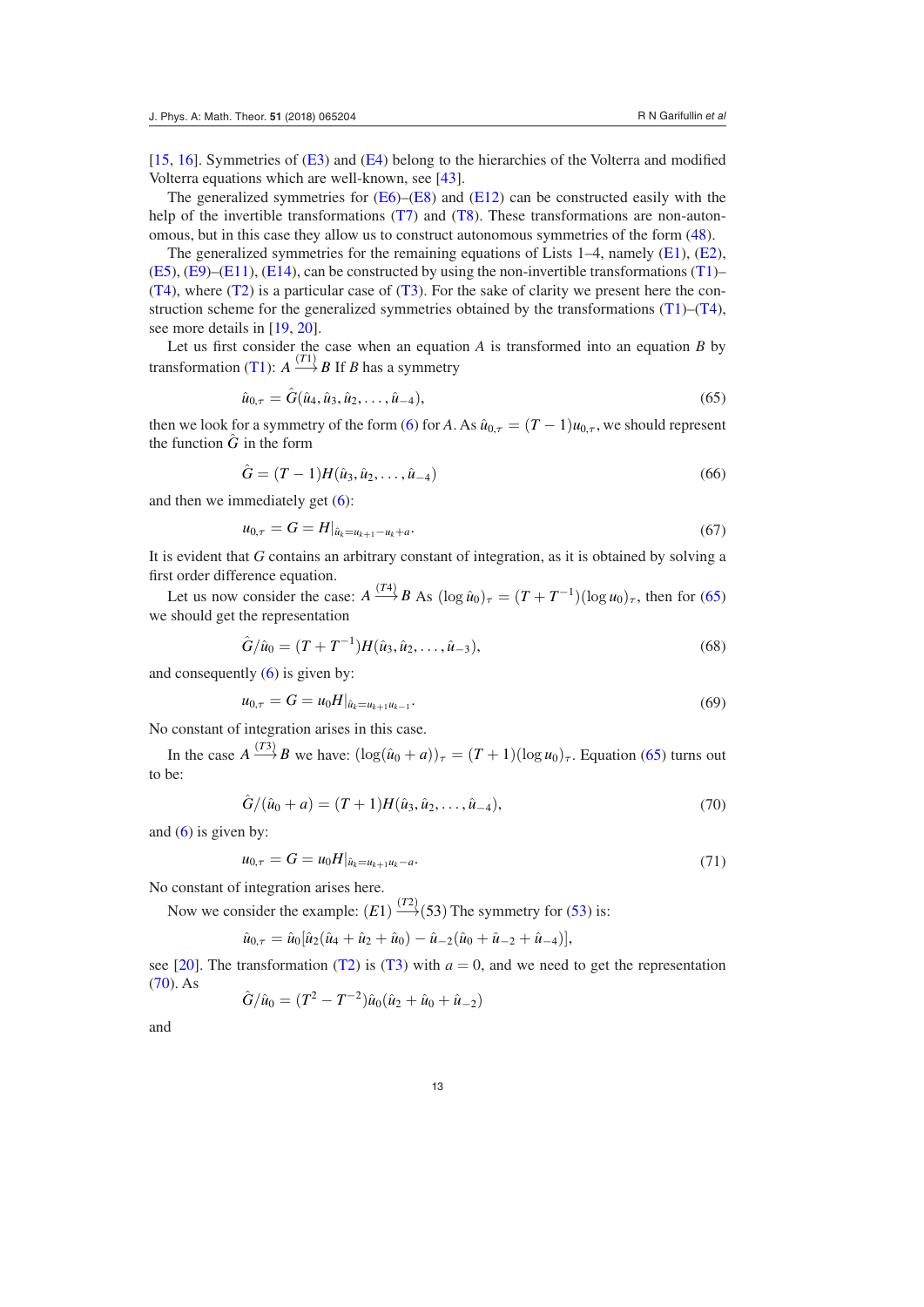[\[15](#page-14-27), [16\]](#page-14-3). Symmetries of [\(E3](#page-9-3)) and ([E4\)](#page-9-9) belong to the hierarchies of the Volterra and modified Volterra equations which are well-known, see [\[43](#page-15-0)].

The generalized symmetries for  $(E6)$  $(E6)$ – $(E8)$  $(E8)$  and  $(E12)$  $(E12)$  can be constructed easily with the help of the invertible transformations [\(T7](#page-11-6)) and [\(T8\)](#page-11-2). These transformations are non-autonomous, but in this case they allow us to construct autonomous symmetries of the form [\(48](#page-7-4)).

The generalized symmetries for the remaining equations of Lists  $1-4$ , namely ([E1](#page-8-0)), [\(E2](#page-8-5)),  $(E5)$  $(E5)$ ,  $(E9)$  $(E9)$ – $(E11)$  $(E11)$ ,  $(E14)$  $(E14)$  $(E14)$ , can be constructed by using the non-invertible transformations  $(T1)$  $(T1)$ –  $(T4)$  $(T4)$ , where  $(T2)$  is a particular case of  $(T3)$  $(T3)$ . For the sake of clarity we present here the construction scheme for the generalized symmetries obtained by the transformations  $(T1)$  $(T1)$ – $(T4)$  $(T4)$ , see more details in [[19,](#page-14-15) [20\]](#page-14-0).

Let us first consider the case when an equation *A* is transformed into an equation *B* by transformation ([T1\)](#page-11-1):  $A \xrightarrow{(T1)} B$  If *B* has a symmetry

<span id="page-12-0"></span>
$$
\hat{u}_{0,\tau} = \hat{G}(\hat{u}_4, \hat{u}_3, \hat{u}_2, \dots, \hat{u}_{-4}),\tag{65}
$$

then we look for a symmetry of the form ([6\)](#page-2-2) for *A*. As  $\hat{u}_{0,\tau} = (T-1)u_{0,\tau}$ , we should represent the function  $\tilde{G}$  in the form

$$
\hat{G} = (T - 1)H(\hat{u}_3, \hat{u}_2, \dots, \hat{u}_{-4})
$$
\n(66)

and then we immediately get [\(6](#page-2-2)):

$$
u_{0,\tau} = G = H|_{\hat{u}_k = u_{k+1} - u_k + a}.
$$
\n<sup>(67)</sup>

It is evident that *G* contains an arbitrary constant of integration, as it is obtained by solving a first order difference equation.

Let us now consider the case:  $A \xrightarrow{(T4)} B \text{ As } (\log \hat{u}_0)_T = (T + T^{-1})(\log u_0)_T$ , then for ([65\)](#page-12-0) we should get the representation

$$
\hat{G}/\hat{u}_0 = (T + T^{-1})H(\hat{u}_3, \hat{u}_2, \dots, \hat{u}_{-3}),
$$
\n(68)

and consequently ([6\)](#page-2-2) is given by:

$$
u_{0,\tau} = G = u_0 H|_{\hat{u}_k = u_{k+1} u_{k-1}}.\tag{69}
$$

No constant of integration arises in this case.

In the case  $A \stackrel{(T3)}{\longrightarrow} B$  we have:  $(\log(\hat{u}_0 + a))_{\tau} = (T+1)(\log u_0)_{\tau}$ . Equation [\(65](#page-12-0)) turns out to be:

<span id="page-12-1"></span>
$$
\hat{G}/(\hat{u}_0 + a) = (T+1)H(\hat{u}_3, \hat{u}_2, \dots, \hat{u}_{-4}),
$$
\n(70)

and  $(6)$  $(6)$  is given by:

$$
u_{0,\tau} = G = u_0 H|_{\hat{u}_k = u_{k+1} u_k - a}.
$$
\n(71)

No constant of integration arises here.

Now we consider the example:  $(E1) \xrightarrow{(T2)} (53)$  $(E1) \xrightarrow{(T2)} (53)$  $(E1) \xrightarrow{(T2)} (53)$  The symmetry for (53) is:

$$
\hat{u}_{0,\tau} = \hat{u}_0[\hat{u}_2(\hat{u}_4 + \hat{u}_2 + \hat{u}_0) - \hat{u}_{-2}(\hat{u}_0 + \hat{u}_{-2} + \hat{u}_{-4})],
$$

see [\[20](#page-14-0)]. The transformation ([T2](#page-11-3)) is ([T3\)](#page-11-9) with  $a = 0$ , and we need to get the representation  $(70)$  $(70)$ . As

$$
\hat{G}/\hat{u}_0 = (T^2 - T^{-2})\hat{u}_0(\hat{u}_2 + \hat{u}_0 + \hat{u}_{-2})
$$

and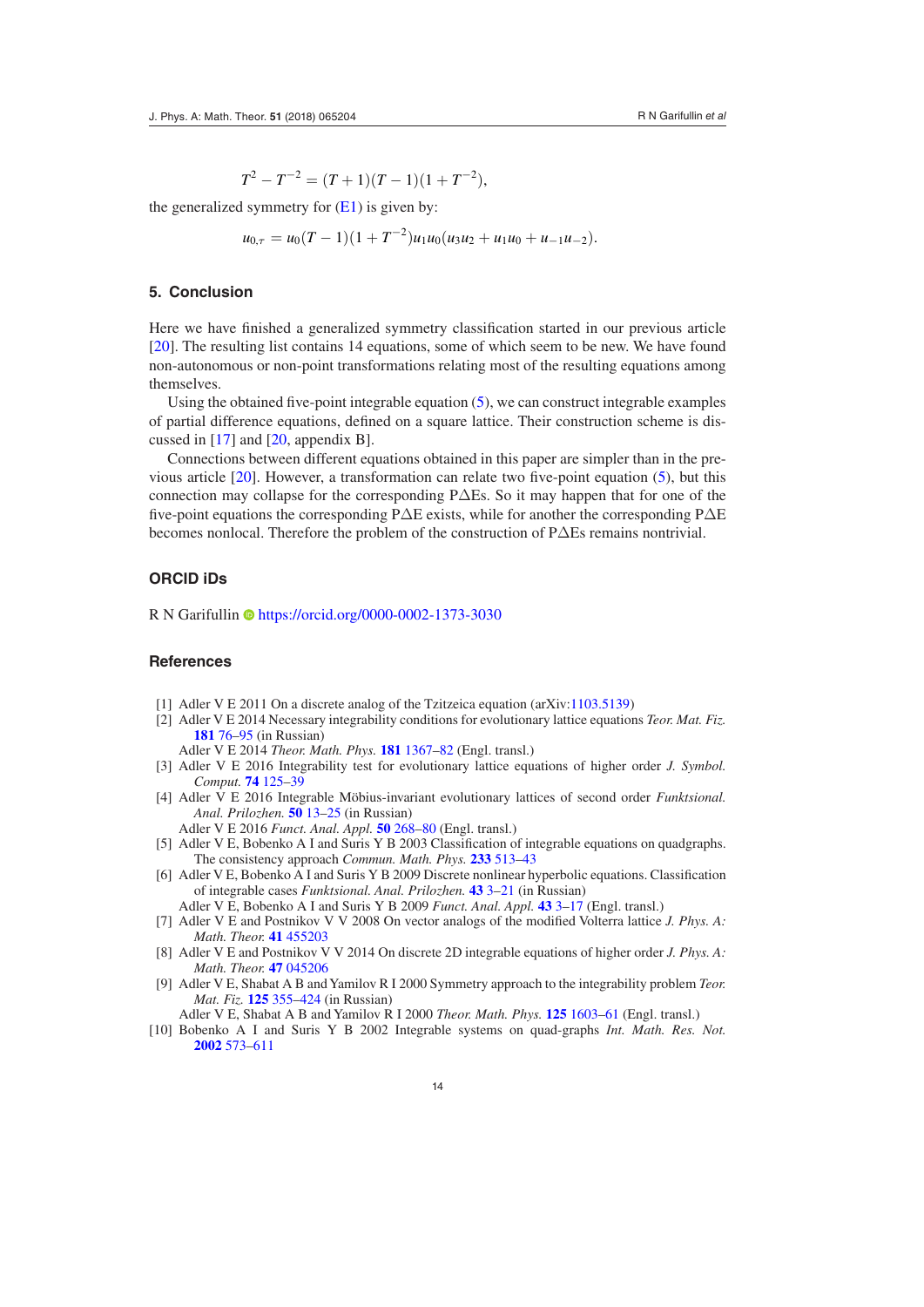$T^2 - T^{-2} = (T+1)(T-1)(1+T^{-2}),$ 

the generalized symmetry for  $(E1)$  $(E1)$  is given by:

$$
u_{0,\tau}=u_0(T-1)(1+T^{-2})u_1u_0(u_3u_2+u_1u_0+u_{-1}u_{-2}).
$$

## <span id="page-13-9"></span>**5. Conclusion**

Here we have finished a generalized symmetry classification started in our previous article [\[20](#page-14-0)]. The resulting list contains 14 equations, some of which seem to be new. We have found non-autonomous or non-point transformations relating most of the resulting equations among themselves.

Using the obtained five-point integrable equation  $(5)$  $(5)$ , we can construct integrable examples of partial difference equations, defined on a square lattice. Their construction scheme is discussed in [[17\]](#page-14-16) and [[20,](#page-14-0) appendix B].

Connections between different equations obtained in this paper are simpler than in the previous article  $[20]$  $[20]$ . However, a transformation can relate two five-point equation [\(5](#page-1-3)), but this connection may collapse for the corresponding P $\Delta$ Es. So it may happen that for one of the five-point equations the corresponding PΔE exists, while for another the corresponding PΔE becomes nonlocal. Therefore the problem of the construction of PΔEs remains nontrivial.

## **ORCID iDs**

R N Garifullin C<https://orcid.org/0000-0002-1373-3030>

## **References**

- <span id="page-13-4"></span>[1] Adler V E 2011 On a discrete analog of the Tzitzeica equation (arXiv:[1103.5139\)](http://arxiv.org/abs/1103.5139)
- [2] Adler V E 2014 Necessary integrability conditions for evolutionary lattice equations *Teor. Mat. Fiz.* **[181](https://doi.org/10.4213/tmf8722)** [76](https://doi.org/10.4213/tmf8722)–[95](https://doi.org/10.4213/tmf8722) (in Russian)

<span id="page-13-8"></span><span id="page-13-5"></span>Adler V E 2014 *Theor. Math. Phys.* **[181](https://doi.org/10.1007/s11232-014-0218-2)** [1367](https://doi.org/10.1007/s11232-014-0218-2)–[82](https://doi.org/10.1007/s11232-014-0218-2) (Engl. transl.)

- [3] Adler V E 2016 Integrability test for evolutionary lattice equations of higher order *J. Symbol. Comput.* **[74](https://doi.org/10.1016/j.jsc.2015.05.008)** [125](https://doi.org/10.1016/j.jsc.2015.05.008)–[39](https://doi.org/10.1016/j.jsc.2015.05.008)
- <span id="page-13-6"></span>[4] Adler V E 2016 Integrable Möbius-invariant evolutionary lattices of second order *Funktsional. Anal. Prilozhen.* **[50](https://doi.org/10.4213/faa3255)** [13](https://doi.org/10.4213/faa3255)–[25](https://doi.org/10.4213/faa3255) (in Russian)
- <span id="page-13-2"></span>Adler V E 2016 *Funct. Anal. Appl.* **[50](https://doi.org/10.1007/s10688-016-0157-9)** [268](https://doi.org/10.1007/s10688-016-0157-9)–[80](https://doi.org/10.1007/s10688-016-0157-9) (Engl. transl.)
- [5] Adler V E, Bobenko A I and Suris Y B 2003 Classification of integrable equations on quadgraphs. The consistency approach *Commun. Math. Phys.* **[233](https://doi.org/10.1007/s00220-002-0762-8)** [513](https://doi.org/10.1007/s00220-002-0762-8)–[43](https://doi.org/10.1007/s00220-002-0762-8)
- <span id="page-13-3"></span>[6] Adler V E, Bobenko A I and Suris Y B 2009 Discrete nonlinear hyperbolic equations. Classification of integrable cases *Funktsional. Anal. Prilozhen.* **[43](https://doi.org/doi.org/10.4213/faa2936)** [3](https://doi.org/doi.org/10.4213/faa2936)–[21](https://doi.org/doi.org/10.4213/faa2936) (in Russian)
- <span id="page-13-10"></span>Adler V E, Bobenko A I and Suris Y B 2009 *Funct. Anal. Appl.* **[43](https://doi.org/10.1007/s10688-009-0002-5)** [3](https://doi.org/10.1007/s10688-009-0002-5)–[17](https://doi.org/10.1007/s10688-009-0002-5) (Engl. transl.)
- [7] Adler V E and Postnikov V V 2008 On vector analogs of the modified Volterra lattice *J. Phys. A: Math. Theor.* **[41](https://doi.org/10.1088/1751-8113/41/45/455203)** [455203](https://doi.org/10.1088/1751-8113/41/45/455203)
- <span id="page-13-7"></span>[8] Adler V E and Postnikov V V 2014 On discrete 2D integrable equations of higher order *J. Phys. A: Math. Theor.* **[47](https://doi.org/10.1088/1751-8113/47/4/045206)** [045206](https://doi.org/10.1088/1751-8113/47/4/045206)
- <span id="page-13-0"></span>[9] Adler V E, Shabat A B and Yamilov R I 2000 Symmetry approach to the integrability problem *Teor. Mat. Fiz.* **[125](https://doi.org/10.4213/tmf675)** [355](https://doi.org/10.4213/tmf675)–[424](https://doi.org/10.4213/tmf675) (in Russian)
- <span id="page-13-1"></span>Adler V E, Shabat A B and Yamilov R I 2000 *Theor. Math. Phys.* **[125](https://doi.org/10.1023/A:1026602012111)** [1603](https://doi.org/10.1023/A:1026602012111)–[61](https://doi.org/10.1023/A:1026602012111) (Engl. transl.)
- [10] Bobenko A I and Suris Y B 2002 Integrable systems on quad-graphs *Int. Math. Res. Not.* **[2002](https://doi.org/10.1155/S1073792802110075)** [573](https://doi.org/10.1155/S1073792802110075)–[611](https://doi.org/10.1155/S1073792802110075)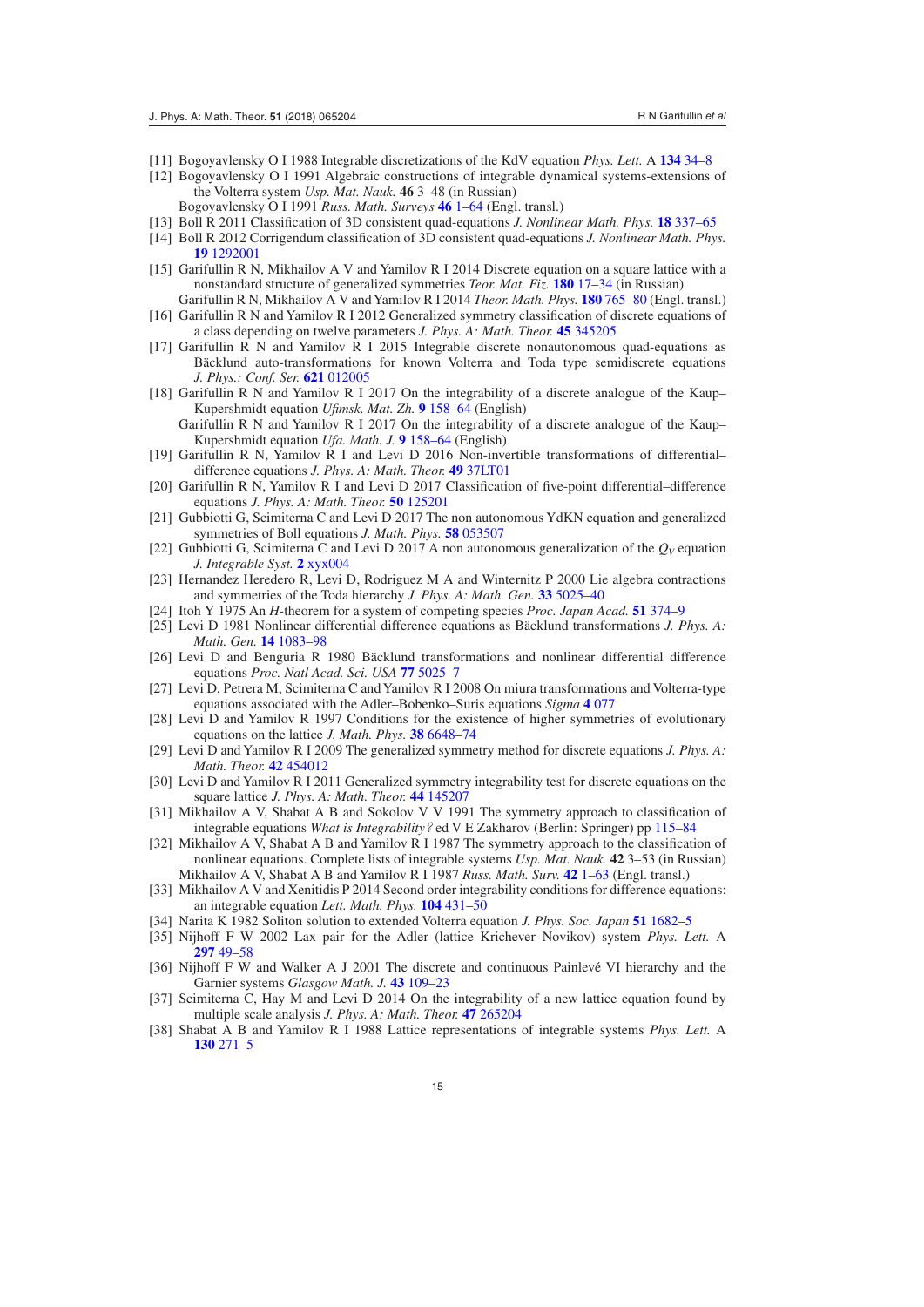- <span id="page-14-20"></span>[11] Bogoyavlensky O I 1988 Integrable discretizations of the KdV equation *Phys. Lett.* A **[134](https://doi.org/10.1016/0375-9601(88)90542-7)** [34](https://doi.org/10.1016/0375-9601(88)90542-7)–[8](https://doi.org/10.1016/0375-9601(88)90542-7)
- <span id="page-14-25"></span>[12] Bogoyavlensky O I 1991 Algebraic constructions of integrable dynamical systems-extensions of the Volterra system *Usp. Mat. Nauk.* **46** 3–48 (in Russian)
- <span id="page-14-7"></span>Bogoyavlensky O I 1991 *Russ. Math. Surveys* **[46](https://doi.org/10.1070/RM1991v046n03ABEH002801)** [1](https://doi.org/10.1070/RM1991v046n03ABEH002801)–[64](https://doi.org/10.1070/RM1991v046n03ABEH002801) (Engl. transl.)
- [13] Boll R 2011 Classification of 3D consistent quad-equations *J. Nonlinear Math. Phys.* **[18](https://doi.org/10.1142/S1402925111001647)** [337](https://doi.org/10.1142/S1402925111001647)–[65](https://doi.org/10.1142/S1402925111001647)
- <span id="page-14-8"></span>[14] Boll R 2012 Corrigendum classification of 3D consistent quad-equations *J. Nonlinear Math. Phys.* **[19](https://doi.org/10.1142/S1402925112920015)** [1292001](https://doi.org/10.1142/S1402925112920015)
- <span id="page-14-27"></span>[15] Garifullin R N, Mikhailov A V and Yamilov R I 2014 Discrete equation on a square lattice with a nonstandard structure of generalized symmetries *Teor. Mat. Fiz.* **[180](https://doi.org/10.4213/tmf8663)** [17](https://doi.org/10.4213/tmf8663)–[34](https://doi.org/10.4213/tmf8663) (in Russian) Garifullin R N, Mikhailov A V and Yamilov R I 2014 *Theor. Math. Phys.* **[180](https://doi.org/10.1007/s11232-014-0178-6)** [765](https://doi.org/10.1007/s11232-014-0178-6)–[80](https://doi.org/10.1007/s11232-014-0178-6) (Engl. transl.)
- <span id="page-14-3"></span>[16] Garifullin R N and Yamilov R I 2012 Generalized symmetry classification of discrete equations of a class depending on twelve parameters *J. Phys. A: Math. Theor.* **[45](https://doi.org/10.1088/1751-8113/45/34/345205)** [345205](https://doi.org/10.1088/1751-8113/45/34/345205)
- <span id="page-14-16"></span>[17] Garifullin R N and Yamilov R I 2015 Integrable discrete nonautonomous quad-equations as Bäcklund auto-transformations for known Volterra and Toda type semidiscrete equations *J. Phys.: Conf. Ser.* **[621](https://doi.org/10.1088/1742-6596/621/1/012005)** [012005](https://doi.org/10.1088/1742-6596/621/1/012005)
- <span id="page-14-26"></span>[18] Garifullin R N and Yamilov R I 2017 On the integrability of a discrete analogue of the Kaup– Kupershmidt equation *Ufimsk. Mat. Zh.* **[9](https://doi.org/10.13108/2017-9-3-158)** [158](https://doi.org/10.13108/2017-9-3-158)–[64](https://doi.org/10.13108/2017-9-3-158) (English)
- <span id="page-14-15"></span> Garifullin R N and Yamilov R I 2017 On the integrability of a discrete analogue of the Kaup– Kupershmidt equation *Ufa. Math. J.* **9** [158–64](https://doi.org/10.13108/2017-9-3-158) (English)
- [19] Garifullin R N, Yamilov R I and Levi D 2016 Non-invertible transformations of differential– difference equations *J. Phys. A: Math. Theor.* **[49](https://doi.org/10.1088/1751-8113/49/37/37LT01)** [37LT01](https://doi.org/10.1088/1751-8113/49/37/37LT01)
- <span id="page-14-0"></span>[20] Garifullin R N, Yamilov R I and Levi D 2017 Classification of five-point differential–difference equations *J. Phys. A: Math. Theor.* **[50](https://doi.org/10.1088/1751-8121/aa5cc3)** [125201](https://doi.org/10.1088/1751-8121/aa5cc3)
- <span id="page-14-9"></span>[21] Gubbiotti G, Scimiterna C and Levi D 2017 The non autonomous YdKN equation and generalized symmetries of Boll equations *J. Math. Phys.* **[58](https://doi.org/10.1063/1.4982747)** [053507](https://doi.org/10.1063/1.4982747)
- <span id="page-14-10"></span>[22] Gubbiotti G, Scimiterna C and Levi D 2017 A non autonomous generalization of the  $Q_V$  equation *J. Integrable Syst.* **[2](https://doi.org/10.1093/integr/xyx004)** [xyx004](https://doi.org/10.1093/integr/xyx004)
- <span id="page-14-23"></span>[23] Hernandez Heredero R, Levi D, Rodriguez M A and Winternitz P 2000 Lie algebra contractions and symmetries of the Toda hierarchy *J. Phys. A: Math. Gen.* **[33](https://doi.org/10.1088/0305-4470/33/28/307)** [5025](https://doi.org/10.1088/0305-4470/33/28/307)–[40](https://doi.org/10.1088/0305-4470/33/28/307)
- <span id="page-14-21"></span>[24] Itoh Y 1975 An *H*-theorem for a system of competing species *Proc. Japan Acad.* **[51](https://doi.org/10.3792/pja/1195518557)** [374](https://doi.org/10.3792/pja/1195518557)–[9](https://doi.org/10.3792/pja/1195518557)
- <span id="page-14-17"></span>[25] Levi D 1981 Nonlinear differential difference equations as Bäcklund transformations *J. Phys. A: Math. Gen.* **[14](https://doi.org/10.1088/0305-4470/14/5/028)** [1083](https://doi.org/10.1088/0305-4470/14/5/028)–[98](https://doi.org/10.1088/0305-4470/14/5/028)
- <span id="page-14-18"></span>[26] Levi D and Benguria R 1980 Bäcklund transformations and nonlinear differential difference equations *Proc. Natl Acad. Sci. USA* **[77](https://doi.org/10.1073/pnas.77.9.5025)** [5025](https://doi.org/10.1073/pnas.77.9.5025)–[7](https://doi.org/10.1073/pnas.77.9.5025)
- <span id="page-14-11"></span>[27] Levi D, Petrera M, Scimiterna C and Yamilov R I 2008 On miura transformations and Volterra-type equations associated with the Adler–Bobenko–Suris equations *Sigma* **[4](https://doi.org/10.3842/SIGMA.2008.077)** [077](https://doi.org/10.3842/SIGMA.2008.077)
- <span id="page-14-12"></span>[28] Levi D and Yamilov R 1997 Conditions for the existence of higher symmetries of evolutionary equations on the lattice *J. Math. Phys.* **[38](https://doi.org/10.1063/1.532230)** [6648](https://doi.org/10.1063/1.532230)–[74](https://doi.org/10.1063/1.532230)
- <span id="page-14-19"></span>[29] Levi D and Yamilov R I 2009 The generalized symmetry method for discrete equations *J. Phys. A: Math. Theor.* **[42](https://doi.org/10.1088/1751-8113/42/45/454012)** [454012](https://doi.org/10.1088/1751-8113/42/45/454012)
- <span id="page-14-4"></span>[30] Levi D and Yamilov R I 2011 Generalized symmetry integrability test for discrete equations on the square lattice *J. Phys. A: Math. Theor.* **[44](https://doi.org/10.1088/1751-8113/44/14/145207)** [145207](https://doi.org/10.1088/1751-8113/44/14/145207)
- <span id="page-14-1"></span>[31] Mikhailov A V, Shabat A B and Sokolov V V 1991 The symmetry approach to classification of integrable equations *What is Integrability?* ed V E Zakharov (Berlin: Springer) pp [115](https://doi.org/10.1007/978-3-642-88703-1_4)–[84](https://doi.org/10.1007/978-3-642-88703-1_4)
- <span id="page-14-2"></span>[32] Mikhailov A V, Shabat A B and Yamilov R I 1987 The symmetry approach to the classification of nonlinear equations. Complete lists of integrable systems *Usp. Mat. Nauk.* **42** 3–53 (in Russian) Mikhailov A V, Shabat A B and Yamilov R I 1987 *Russ. Math. Surv.* **[42](https://doi.org/10.1070/RM1987v042n04ABEH001441)** [1](https://doi.org/10.1070/RM1987v042n04ABEH001441)–[63](https://doi.org/10.1070/RM1987v042n04ABEH001441) (Engl. transl.)
- <span id="page-14-13"></span>[33] Mikhailov A V and Xenitidis P 2014 Second order integrability conditions for difference equations: an integrable equation *Lett. Math. Phys.* **[104](https://doi.org/10.1007/s11005-013-0668-8)** [431](https://doi.org/10.1007/s11005-013-0668-8)–[50](https://doi.org/10.1007/s11005-013-0668-8)
- <span id="page-14-22"></span><span id="page-14-5"></span>[34] Narita K 1982 Soliton solution to extended Volterra equation *J. Phys. Soc. Japan* **[51](https://doi.org/10.1143/JPSJ.51.1682)** [1682](https://doi.org/10.1143/JPSJ.51.1682)–[5](https://doi.org/10.1143/JPSJ.51.1682)
- [35] Nijhoff F W 2002 Lax pair for the Adler (lattice Krichever–Novikov) system *Phys. Lett.* A **[297](https://doi.org/10.1016/S0375-9601(02)00287-6)** [49](https://doi.org/10.1016/S0375-9601(02)00287-6)–[58](https://doi.org/10.1016/S0375-9601(02)00287-6)
- <span id="page-14-6"></span>[36] Nijhoff F W and Walker A J 2001 The discrete and continuous Painlevé VI hierarchy and the Garnier systems *Glasgow Math. J.* **[43](https://doi.org/10.1017/S0017089501000106)** [109](https://doi.org/10.1017/S0017089501000106)–[23](https://doi.org/10.1017/S0017089501000106)
- <span id="page-14-14"></span>[37] Scimiterna C, Hay M and Levi D 2014 On the integrability of a new lattice equation found by multiple scale analysis *J. Phys. A: Math. Theor.* **[47](https://doi.org/10.1088/1751-8113/47/26/265204)** [265204](https://doi.org/10.1088/1751-8113/47/26/265204)
- <span id="page-14-24"></span>[38] Shabat A B and Yamilov R I 1988 Lattice representations of integrable systems *Phys. Lett.* A **[130](https://doi.org/10.1016/0375-9601(88)90608-1)** [271](https://doi.org/10.1016/0375-9601(88)90608-1)–[5](https://doi.org/10.1016/0375-9601(88)90608-1)